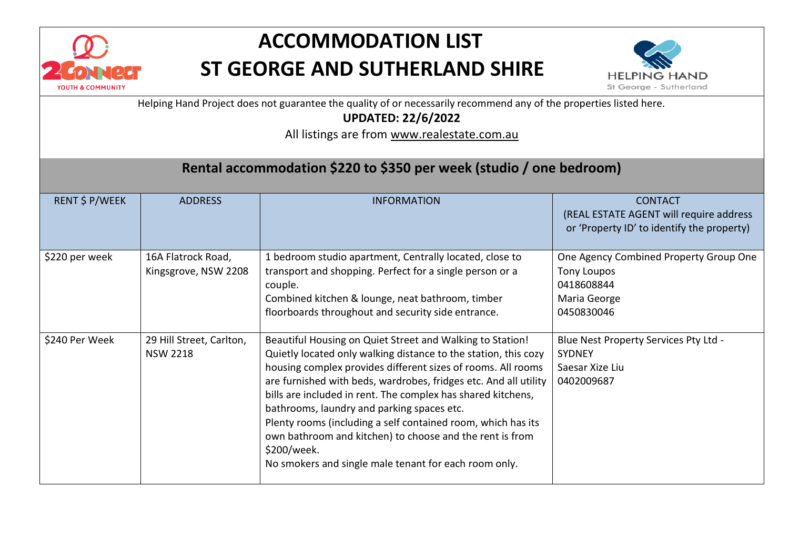

## **ACCOMMODATION LIST ST GEORGE AND SUTHERLAND SHIRE**



Helping Hand Project does not guarantee the quality of or necessarily recommend any of the properties listed here.

**UPDATED: 22/6/2022**

All listings are from [www.realestate.com.au](http://www.realestate.com.au/)

### **Rental accommodation \$220 to \$350 per week (studio / one bedroom)**

| RENT \$ P/WEEK | <b>ADDRESS</b>                              | <b>INFORMATION</b>                                                                                                                                                                                                                                                                                                                                                                                                                                                                                                                                                                 | <b>CONTACT</b><br>(REAL ESTATE AGENT will require address<br>or 'Property ID' to identify the property)  |
|----------------|---------------------------------------------|------------------------------------------------------------------------------------------------------------------------------------------------------------------------------------------------------------------------------------------------------------------------------------------------------------------------------------------------------------------------------------------------------------------------------------------------------------------------------------------------------------------------------------------------------------------------------------|----------------------------------------------------------------------------------------------------------|
| \$220 per week | 16A Flatrock Road,<br>Kingsgrove, NSW 2208  | 1 bedroom studio apartment, Centrally located, close to<br>transport and shopping. Perfect for a single person or a<br>couple.<br>Combined kitchen & lounge, neat bathroom, timber<br>floorboards throughout and security side entrance.                                                                                                                                                                                                                                                                                                                                           | One Agency Combined Property Group One<br><b>Tony Loupos</b><br>0418608844<br>Maria George<br>0450830046 |
| \$240 Per Week | 29 Hill Street, Carlton,<br><b>NSW 2218</b> | Beautiful Housing on Quiet Street and Walking to Station!<br>Quietly located only walking distance to the station, this cozy<br>housing complex provides different sizes of rooms. All rooms<br>are furnished with beds, wardrobes, fridges etc. And all utility<br>bills are included in rent. The complex has shared kitchens,<br>bathrooms, laundry and parking spaces etc.<br>Plenty rooms (including a self contained room, which has its<br>own bathroom and kitchen) to choose and the rent is from<br>\$200/week.<br>No smokers and single male tenant for each room only. | Blue Nest Property Services Pty Ltd -<br><b>SYDNEY</b><br>Saesar Xize Liu<br>0402009687                  |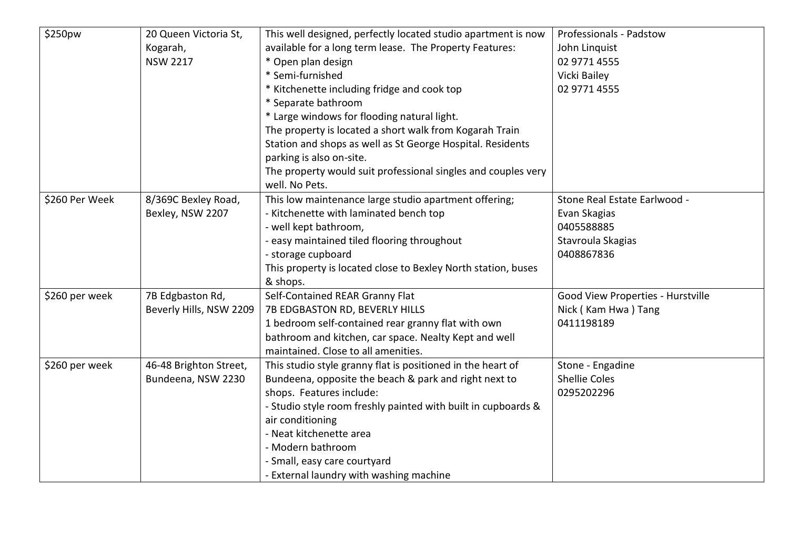| \$250pw        | 20 Queen Victoria St,   | This well designed, perfectly located studio apartment is now | Professionals - Padstow           |
|----------------|-------------------------|---------------------------------------------------------------|-----------------------------------|
|                | Kogarah,                | available for a long term lease. The Property Features:       | John Linquist                     |
|                | <b>NSW 2217</b>         | * Open plan design                                            | 02 9771 4555                      |
|                |                         | * Semi-furnished                                              | Vicki Bailey                      |
|                |                         | * Kitchenette including fridge and cook top                   | 02 9771 4555                      |
|                |                         | * Separate bathroom                                           |                                   |
|                |                         | * Large windows for flooding natural light.                   |                                   |
|                |                         | The property is located a short walk from Kogarah Train       |                                   |
|                |                         | Station and shops as well as St George Hospital. Residents    |                                   |
|                |                         | parking is also on-site.                                      |                                   |
|                |                         | The property would suit professional singles and couples very |                                   |
|                |                         | well. No Pets.                                                |                                   |
| \$260 Per Week | 8/369C Bexley Road,     | This low maintenance large studio apartment offering;         | Stone Real Estate Earlwood -      |
|                | Bexley, NSW 2207        | - Kitchenette with laminated bench top                        | Evan Skagias                      |
|                |                         | - well kept bathroom,                                         | 0405588885                        |
|                |                         | - easy maintained tiled flooring throughout                   | Stavroula Skagias                 |
|                |                         | - storage cupboard                                            | 0408867836                        |
|                |                         | This property is located close to Bexley North station, buses |                                   |
|                |                         | & shops.                                                      |                                   |
| \$260 per week | 7B Edgbaston Rd,        | Self-Contained REAR Granny Flat                               | Good View Properties - Hurstville |
|                | Beverly Hills, NSW 2209 | 7B EDGBASTON RD, BEVERLY HILLS                                | Nick (Kam Hwa) Tang               |
|                |                         | 1 bedroom self-contained rear granny flat with own            | 0411198189                        |
|                |                         | bathroom and kitchen, car space. Nealty Kept and well         |                                   |
|                |                         | maintained. Close to all amenities.                           |                                   |
| \$260 per week | 46-48 Brighton Street,  | This studio style granny flat is positioned in the heart of   | Stone - Engadine                  |
|                | Bundeena, NSW 2230      | Bundeena, opposite the beach & park and right next to         | <b>Shellie Coles</b>              |
|                |                         | shops. Features include:                                      | 0295202296                        |
|                |                         | - Studio style room freshly painted with built in cupboards & |                                   |
|                |                         | air conditioning                                              |                                   |
|                |                         | - Neat kitchenette area                                       |                                   |
|                |                         | - Modern bathroom                                             |                                   |
|                |                         | - Small, easy care courtyard                                  |                                   |
|                |                         | - External laundry with washing machine                       |                                   |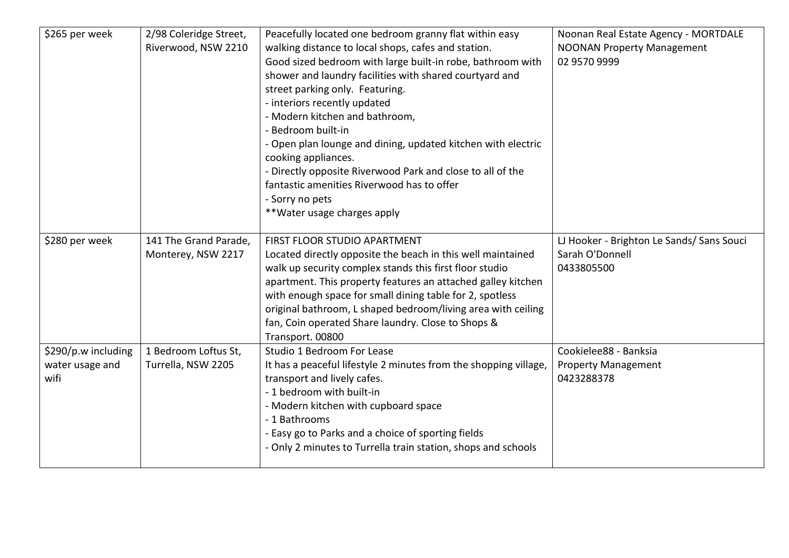| \$265 per week                                 | 2/98 Coleridge Street,<br>Riverwood, NSW 2210 | Peacefully located one bedroom granny flat within easy<br>walking distance to local shops, cafes and station.<br>Good sized bedroom with large built-in robe, bathroom with<br>shower and laundry facilities with shared courtyard and<br>street parking only. Featuring.<br>- interiors recently updated<br>- Modern kitchen and bathroom,<br>- Bedroom built-in<br>- Open plan lounge and dining, updated kitchen with electric<br>cooking appliances.<br>- Directly opposite Riverwood Park and close to all of the<br>fantastic amenities Riverwood has to offer<br>- Sorry no pets<br>**Water usage charges apply | Noonan Real Estate Agency - MORTDALE<br><b>NOONAN Property Management</b><br>02 9570 9999 |
|------------------------------------------------|-----------------------------------------------|------------------------------------------------------------------------------------------------------------------------------------------------------------------------------------------------------------------------------------------------------------------------------------------------------------------------------------------------------------------------------------------------------------------------------------------------------------------------------------------------------------------------------------------------------------------------------------------------------------------------|-------------------------------------------------------------------------------------------|
| \$280 per week                                 | 141 The Grand Parade,<br>Monterey, NSW 2217   | FIRST FLOOR STUDIO APARTMENT<br>Located directly opposite the beach in this well maintained<br>walk up security complex stands this first floor studio<br>apartment. This property features an attached galley kitchen<br>with enough space for small dining table for 2, spotless<br>original bathroom, L shaped bedroom/living area with ceiling<br>fan, Coin operated Share laundry. Close to Shops &<br>Transport. 00800                                                                                                                                                                                           | LJ Hooker - Brighton Le Sands/ Sans Souci<br>Sarah O'Donnell<br>0433805500                |
| \$290/p.w including<br>water usage and<br>wifi | 1 Bedroom Loftus St,<br>Turrella, NSW 2205    | Studio 1 Bedroom For Lease<br>It has a peaceful lifestyle 2 minutes from the shopping village,<br>transport and lively cafes.<br>- 1 bedroom with built-in<br>- Modern kitchen with cupboard space<br>- 1 Bathrooms<br>- Easy go to Parks and a choice of sporting fields<br>- Only 2 minutes to Turrella train station, shops and schools                                                                                                                                                                                                                                                                             | Cookielee88 - Banksia<br><b>Property Management</b><br>0423288378                         |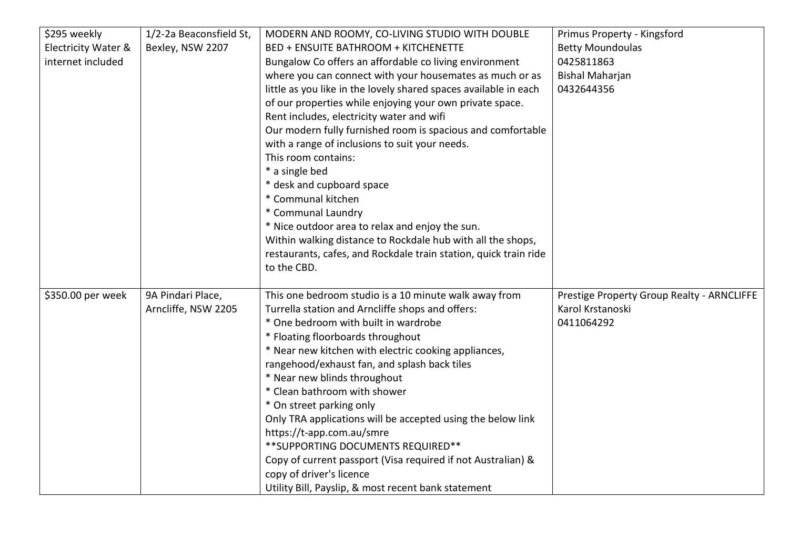| \$295 weekly        | 1/2-2a Beaconsfield St, | MODERN AND ROOMY, CO-LIVING STUDIO WITH DOUBLE                   | Primus Property - Kingsford                |
|---------------------|-------------------------|------------------------------------------------------------------|--------------------------------------------|
| Electricity Water & | Bexley, NSW 2207        | <b>BED + ENSUITE BATHROOM + KITCHENETTE</b>                      | <b>Betty Moundoulas</b>                    |
| internet included   |                         | Bungalow Co offers an affordable co living environment           | 0425811863                                 |
|                     |                         | where you can connect with your housemates as much or as         | <b>Bishal Maharjan</b>                     |
|                     |                         | little as you like in the lovely shared spaces available in each | 0432644356                                 |
|                     |                         | of our properties while enjoying your own private space.         |                                            |
|                     |                         | Rent includes, electricity water and wifi                        |                                            |
|                     |                         | Our modern fully furnished room is spacious and comfortable      |                                            |
|                     |                         | with a range of inclusions to suit your needs.                   |                                            |
|                     |                         | This room contains:                                              |                                            |
|                     |                         | * a single bed                                                   |                                            |
|                     |                         | * desk and cupboard space                                        |                                            |
|                     |                         | * Communal kitchen                                               |                                            |
|                     |                         | * Communal Laundry                                               |                                            |
|                     |                         | * Nice outdoor area to relax and enjoy the sun.                  |                                            |
|                     |                         | Within walking distance to Rockdale hub with all the shops,      |                                            |
|                     |                         | restaurants, cafes, and Rockdale train station, quick train ride |                                            |
|                     |                         | to the CBD.                                                      |                                            |
|                     |                         |                                                                  |                                            |
| \$350.00 per week   | 9A Pindari Place,       | This one bedroom studio is a 10 minute walk away from            | Prestige Property Group Realty - ARNCLIFFE |
|                     | Arncliffe, NSW 2205     | Turrella station and Arncliffe shops and offers:                 | Karol Krstanoski                           |
|                     |                         | * One bedroom with built in wardrobe                             | 0411064292                                 |
|                     |                         | * Floating floorboards throughout                                |                                            |
|                     |                         | * Near new kitchen with electric cooking appliances,             |                                            |
|                     |                         | rangehood/exhaust fan, and splash back tiles                     |                                            |
|                     |                         | * Near new blinds throughout                                     |                                            |
|                     |                         | * Clean bathroom with shower                                     |                                            |
|                     |                         | * On street parking only                                         |                                            |
|                     |                         | Only TRA applications will be accepted using the below link      |                                            |
|                     |                         | https://t-app.com.au/smre                                        |                                            |
|                     |                         | ** SUPPORTING DOCUMENTS REQUIRED**                               |                                            |
|                     |                         | Copy of current passport (Visa required if not Australian) &     |                                            |
|                     |                         | copy of driver's licence                                         |                                            |
|                     |                         | Utility Bill, Payslip, & most recent bank statement              |                                            |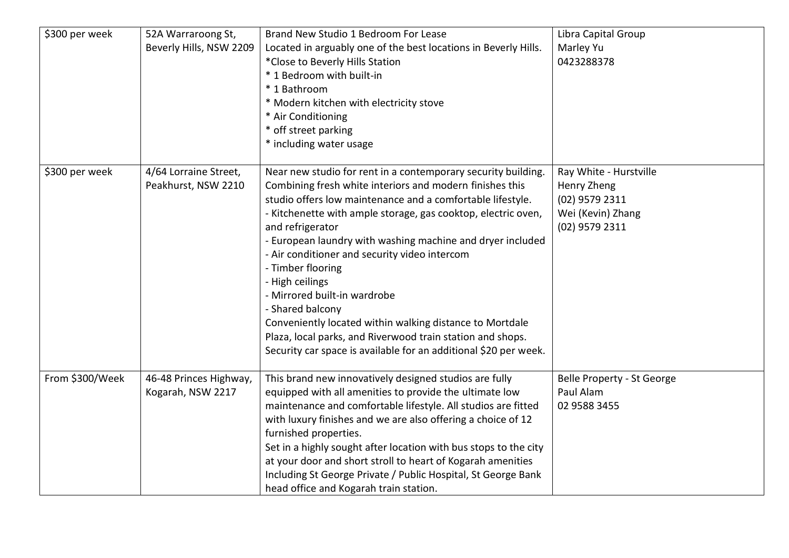| \$300 per week  | 52A Warraroong St,<br>Beverly Hills, NSW 2209 | Brand New Studio 1 Bedroom For Lease<br>Located in arguably one of the best locations in Beverly Hills.<br>*Close to Beverly Hills Station<br>* 1 Bedroom with built-in<br>* 1 Bathroom<br>* Modern kitchen with electricity stove<br>* Air Conditioning<br>* off street parking<br>* including water usage                                                                                                                                                                                                                                                                                                                                                                           | Libra Capital Group<br>Marley Yu<br>0423288378                                                 |
|-----------------|-----------------------------------------------|---------------------------------------------------------------------------------------------------------------------------------------------------------------------------------------------------------------------------------------------------------------------------------------------------------------------------------------------------------------------------------------------------------------------------------------------------------------------------------------------------------------------------------------------------------------------------------------------------------------------------------------------------------------------------------------|------------------------------------------------------------------------------------------------|
| \$300 per week  | 4/64 Lorraine Street,<br>Peakhurst, NSW 2210  | Near new studio for rent in a contemporary security building.<br>Combining fresh white interiors and modern finishes this<br>studio offers low maintenance and a comfortable lifestyle.<br>- Kitchenette with ample storage, gas cooktop, electric oven,<br>and refrigerator<br>- European laundry with washing machine and dryer included<br>- Air conditioner and security video intercom<br>- Timber flooring<br>- High ceilings<br>- Mirrored built-in wardrobe<br>- Shared balcony<br>Conveniently located within walking distance to Mortdale<br>Plaza, local parks, and Riverwood train station and shops.<br>Security car space is available for an additional \$20 per week. | Ray White - Hurstville<br>Henry Zheng<br>(02) 9579 2311<br>Wei (Kevin) Zhang<br>(02) 9579 2311 |
| From \$300/Week | 46-48 Princes Highway,<br>Kogarah, NSW 2217   | This brand new innovatively designed studios are fully<br>equipped with all amenities to provide the ultimate low<br>maintenance and comfortable lifestyle. All studios are fitted<br>with luxury finishes and we are also offering a choice of 12<br>furnished properties.<br>Set in a highly sought after location with bus stops to the city<br>at your door and short stroll to heart of Kogarah amenities<br>Including St George Private / Public Hospital, St George Bank<br>head office and Kogarah train station.                                                                                                                                                             | Belle Property - St George<br>Paul Alam<br>02 9588 3455                                        |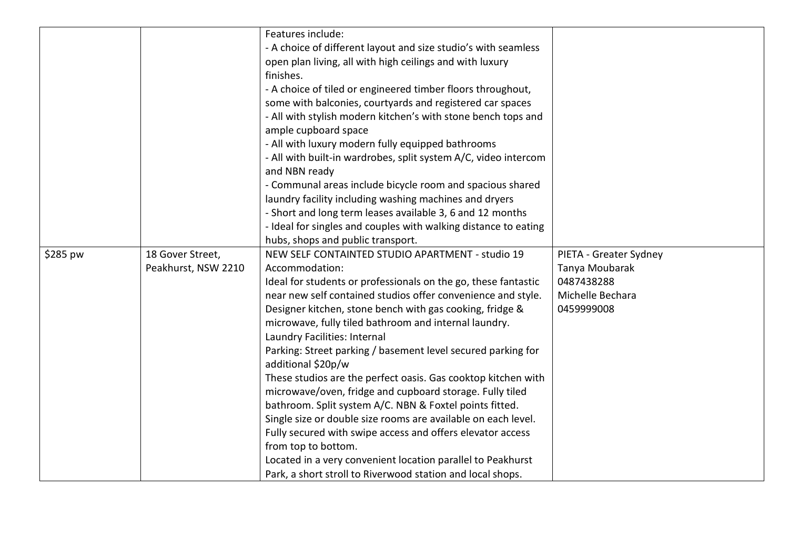|          |                     | Features include:                                               |                        |
|----------|---------------------|-----------------------------------------------------------------|------------------------|
|          |                     | - A choice of different layout and size studio's with seamless  |                        |
|          |                     | open plan living, all with high ceilings and with luxury        |                        |
|          |                     | finishes.                                                       |                        |
|          |                     | - A choice of tiled or engineered timber floors throughout,     |                        |
|          |                     | some with balconies, courtyards and registered car spaces       |                        |
|          |                     | - All with stylish modern kitchen's with stone bench tops and   |                        |
|          |                     | ample cupboard space                                            |                        |
|          |                     | - All with luxury modern fully equipped bathrooms               |                        |
|          |                     | - All with built-in wardrobes, split system A/C, video intercom |                        |
|          |                     | and NBN ready                                                   |                        |
|          |                     | - Communal areas include bicycle room and spacious shared       |                        |
|          |                     | laundry facility including washing machines and dryers          |                        |
|          |                     | - Short and long term leases available 3, 6 and 12 months       |                        |
|          |                     | - Ideal for singles and couples with walking distance to eating |                        |
|          |                     | hubs, shops and public transport.                               |                        |
| \$285 pw | 18 Gover Street,    | NEW SELF CONTAINTED STUDIO APARTMENT - studio 19                | PIETA - Greater Sydney |
|          | Peakhurst, NSW 2210 | Accommodation:                                                  | Tanya Moubarak         |
|          |                     | Ideal for students or professionals on the go, these fantastic  | 0487438288             |
|          |                     | near new self contained studios offer convenience and style.    | Michelle Bechara       |
|          |                     | Designer kitchen, stone bench with gas cooking, fridge &        | 0459999008             |
|          |                     | microwave, fully tiled bathroom and internal laundry.           |                        |
|          |                     | Laundry Facilities: Internal                                    |                        |
|          |                     | Parking: Street parking / basement level secured parking for    |                        |
|          |                     | additional \$20p/w                                              |                        |
|          |                     | These studios are the perfect oasis. Gas cooktop kitchen with   |                        |
|          |                     | microwave/oven, fridge and cupboard storage. Fully tiled        |                        |
|          |                     | bathroom. Split system A/C. NBN & Foxtel points fitted.         |                        |
|          |                     | Single size or double size rooms are available on each level.   |                        |
|          |                     | Fully secured with swipe access and offers elevator access      |                        |
|          |                     | from top to bottom.                                             |                        |
|          |                     | Located in a very convenient location parallel to Peakhurst     |                        |
|          |                     | Park, a short stroll to Riverwood station and local shops.      |                        |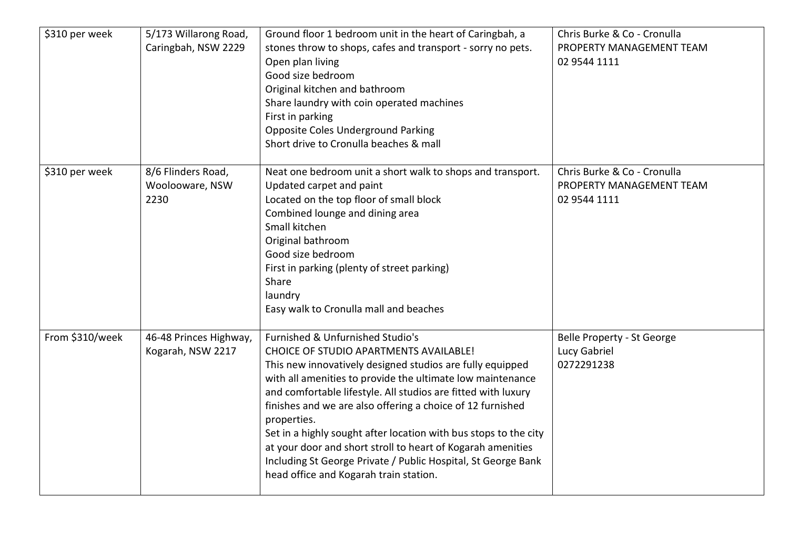| \$310 per week  | 5/173 Willarong Road,<br>Caringbah, NSW 2229  | Ground floor 1 bedroom unit in the heart of Caringbah, a<br>stones throw to shops, cafes and transport - sorry no pets.<br>Open plan living<br>Good size bedroom<br>Original kitchen and bathroom<br>Share laundry with coin operated machines<br>First in parking<br><b>Opposite Coles Underground Parking</b><br>Short drive to Cronulla beaches & mall                                                                                                                                                                                                                                                | Chris Burke & Co - Cronulla<br>PROPERTY MANAGEMENT TEAM<br>02 9544 1111 |
|-----------------|-----------------------------------------------|----------------------------------------------------------------------------------------------------------------------------------------------------------------------------------------------------------------------------------------------------------------------------------------------------------------------------------------------------------------------------------------------------------------------------------------------------------------------------------------------------------------------------------------------------------------------------------------------------------|-------------------------------------------------------------------------|
| \$310 per week  | 8/6 Flinders Road,<br>Woolooware, NSW<br>2230 | Neat one bedroom unit a short walk to shops and transport.<br>Updated carpet and paint<br>Located on the top floor of small block<br>Combined lounge and dining area<br>Small kitchen<br>Original bathroom<br>Good size bedroom<br>First in parking (plenty of street parking)<br>Share<br>laundry<br>Easy walk to Cronulla mall and beaches                                                                                                                                                                                                                                                             | Chris Burke & Co - Cronulla<br>PROPERTY MANAGEMENT TEAM<br>02 9544 1111 |
| From \$310/week | 46-48 Princes Highway,<br>Kogarah, NSW 2217   | Furnished & Unfurnished Studio's<br><b>CHOICE OF STUDIO APARTMENTS AVAILABLE!</b><br>This new innovatively designed studios are fully equipped<br>with all amenities to provide the ultimate low maintenance<br>and comfortable lifestyle. All studios are fitted with luxury<br>finishes and we are also offering a choice of 12 furnished<br>properties.<br>Set in a highly sought after location with bus stops to the city<br>at your door and short stroll to heart of Kogarah amenities<br>Including St George Private / Public Hospital, St George Bank<br>head office and Kogarah train station. | Belle Property - St George<br>Lucy Gabriel<br>0272291238                |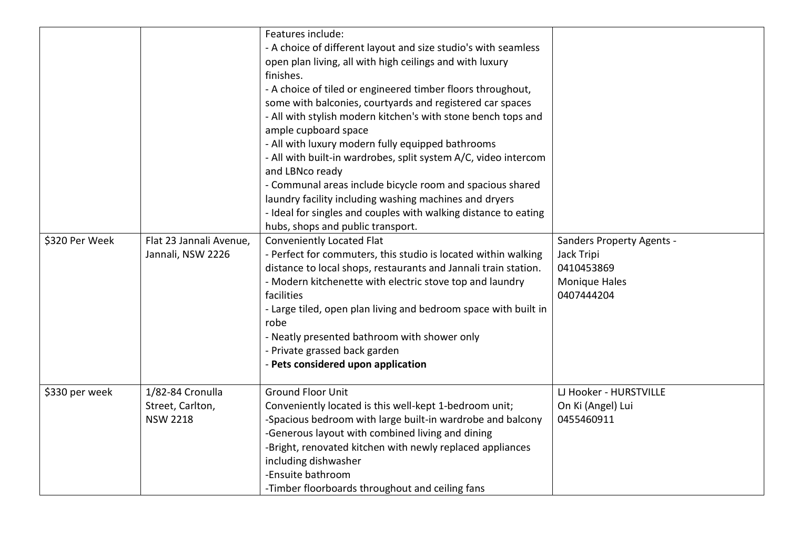| \$320 Per Week | Flat 23 Jannali Avenue,<br>Jannali, NSW 2226            | Features include:<br>- A choice of different layout and size studio's with seamless<br>open plan living, all with high ceilings and with luxury<br>finishes.<br>- A choice of tiled or engineered timber floors throughout,<br>some with balconies, courtyards and registered car spaces<br>- All with stylish modern kitchen's with stone bench tops and<br>ample cupboard space<br>- All with luxury modern fully equipped bathrooms<br>- All with built-in wardrobes, split system A/C, video intercom<br>and LBNco ready<br>- Communal areas include bicycle room and spacious shared<br>laundry facility including washing machines and dryers<br>- Ideal for singles and couples with walking distance to eating<br>hubs, shops and public transport.<br>Conveniently Located Flat<br>- Perfect for commuters, this studio is located within walking<br>distance to local shops, restaurants and Jannali train station.<br>- Modern kitchenette with electric stove top and laundry<br>facilities<br>- Large tiled, open plan living and bedroom space with built in<br>robe<br>- Neatly presented bathroom with shower only<br>- Private grassed back garden<br>- Pets considered upon application | <b>Sanders Property Agents -</b><br>Jack Tripi<br>0410453869<br><b>Monique Hales</b><br>0407444204 |
|----------------|---------------------------------------------------------|-----------------------------------------------------------------------------------------------------------------------------------------------------------------------------------------------------------------------------------------------------------------------------------------------------------------------------------------------------------------------------------------------------------------------------------------------------------------------------------------------------------------------------------------------------------------------------------------------------------------------------------------------------------------------------------------------------------------------------------------------------------------------------------------------------------------------------------------------------------------------------------------------------------------------------------------------------------------------------------------------------------------------------------------------------------------------------------------------------------------------------------------------------------------------------------------------------------|----------------------------------------------------------------------------------------------------|
| \$330 per week | 1/82-84 Cronulla<br>Street, Carlton,<br><b>NSW 2218</b> | <b>Ground Floor Unit</b><br>Conveniently located is this well-kept 1-bedroom unit;<br>-Spacious bedroom with large built-in wardrobe and balcony<br>-Generous layout with combined living and dining<br>-Bright, renovated kitchen with newly replaced appliances<br>including dishwasher<br>-Ensuite bathroom<br>-Timber floorboards throughout and ceiling fans                                                                                                                                                                                                                                                                                                                                                                                                                                                                                                                                                                                                                                                                                                                                                                                                                                         | LJ Hooker - HURSTVILLE<br>On Ki (Angel) Lui<br>0455460911                                          |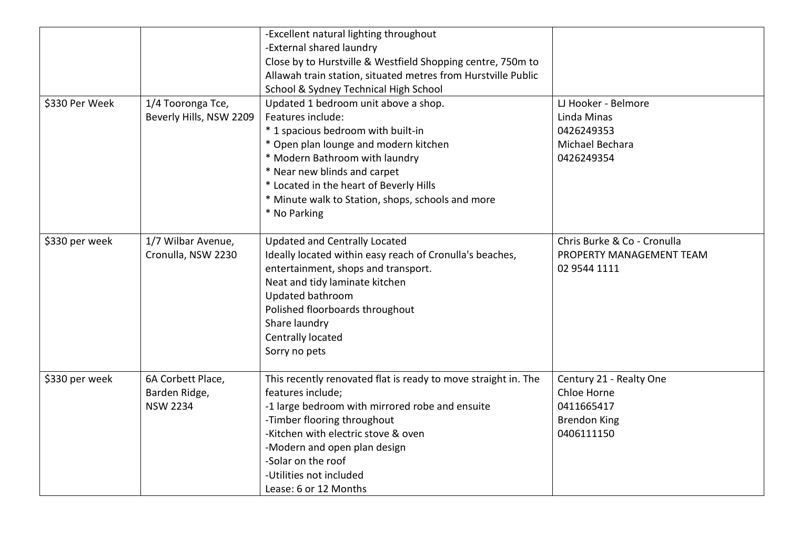|                |                         | -Excellent natural lighting throughout                         |                             |
|----------------|-------------------------|----------------------------------------------------------------|-----------------------------|
|                |                         | -External shared laundry                                       |                             |
|                |                         | Close by to Hurstville & Westfield Shopping centre, 750m to    |                             |
|                |                         | Allawah train station, situated metres from Hurstville Public  |                             |
|                |                         | School & Sydney Technical High School                          |                             |
| \$330 Per Week | 1/4 Tooronga Tce,       | Updated 1 bedroom unit above a shop.                           | LJ Hooker - Belmore         |
|                | Beverly Hills, NSW 2209 | Features include:                                              | Linda Minas                 |
|                |                         | * 1 spacious bedroom with built-in                             | 0426249353                  |
|                |                         | * Open plan lounge and modern kitchen                          | Michael Bechara             |
|                |                         | * Modern Bathroom with laundry                                 | 0426249354                  |
|                |                         | * Near new blinds and carpet                                   |                             |
|                |                         | * Located in the heart of Beverly Hills                        |                             |
|                |                         | * Minute walk to Station, shops, schools and more              |                             |
|                |                         | * No Parking                                                   |                             |
|                |                         |                                                                |                             |
| \$330 per week | 1/7 Wilbar Avenue,      | <b>Updated and Centrally Located</b>                           | Chris Burke & Co - Cronulla |
|                | Cronulla, NSW 2230      | Ideally located within easy reach of Cronulla's beaches,       | PROPERTY MANAGEMENT TEAM    |
|                |                         | entertainment, shops and transport.                            | 02 9544 1111                |
|                |                         | Neat and tidy laminate kitchen                                 |                             |
|                |                         | Updated bathroom                                               |                             |
|                |                         | Polished floorboards throughout                                |                             |
|                |                         | Share laundry                                                  |                             |
|                |                         | Centrally located                                              |                             |
|                |                         | Sorry no pets                                                  |                             |
|                |                         |                                                                |                             |
| \$330 per week | 6A Corbett Place,       | This recently renovated flat is ready to move straight in. The | Century 21 - Realty One     |
|                | Barden Ridge,           | features include;                                              | Chloe Horne                 |
|                | <b>NSW 2234</b>         | -1 large bedroom with mirrored robe and ensuite                | 0411665417                  |
|                |                         | -Timber flooring throughout                                    | <b>Brendon King</b>         |
|                |                         | -Kitchen with electric stove & oven                            | 0406111150                  |
|                |                         | -Modern and open plan design                                   |                             |
|                |                         | -Solar on the roof                                             |                             |
|                |                         | -Utilities not included                                        |                             |
|                |                         | Lease: 6 or 12 Months                                          |                             |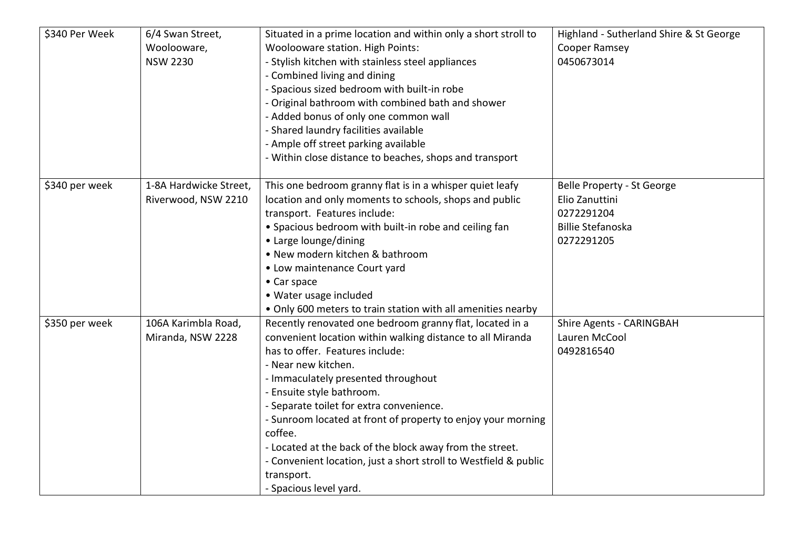| \$340 Per Week | 6/4 Swan Street,<br>Woolooware,<br><b>NSW 2230</b> | Situated in a prime location and within only a short stroll to<br>Woolooware station. High Points:<br>- Stylish kitchen with stainless steel appliances<br>- Combined living and dining<br>- Spacious sized bedroom with built-in robe<br>- Original bathroom with combined bath and shower<br>- Added bonus of only one common wall                                                                                                                                                                                                                | Highland - Sutherland Shire & St George<br>Cooper Ramsey<br>0450673014                               |
|----------------|----------------------------------------------------|-----------------------------------------------------------------------------------------------------------------------------------------------------------------------------------------------------------------------------------------------------------------------------------------------------------------------------------------------------------------------------------------------------------------------------------------------------------------------------------------------------------------------------------------------------|------------------------------------------------------------------------------------------------------|
|                |                                                    | - Shared laundry facilities available<br>- Ample off street parking available<br>- Within close distance to beaches, shops and transport                                                                                                                                                                                                                                                                                                                                                                                                            |                                                                                                      |
| \$340 per week | 1-8A Hardwicke Street,<br>Riverwood, NSW 2210      | This one bedroom granny flat is in a whisper quiet leafy<br>location and only moments to schools, shops and public<br>transport. Features include:<br>• Spacious bedroom with built-in robe and ceiling fan<br>• Large lounge/dining<br>• New modern kitchen & bathroom<br>• Low maintenance Court yard<br>• Car space<br>• Water usage included<br>. Only 600 meters to train station with all amenities nearby                                                                                                                                    | Belle Property - St George<br>Elio Zanuttini<br>0272291204<br><b>Billie Stefanoska</b><br>0272291205 |
| \$350 per week | 106A Karimbla Road,<br>Miranda, NSW 2228           | Recently renovated one bedroom granny flat, located in a<br>convenient location within walking distance to all Miranda<br>has to offer. Features include:<br>- Near new kitchen.<br>- Immaculately presented throughout<br>- Ensuite style bathroom.<br>- Separate toilet for extra convenience.<br>- Sunroom located at front of property to enjoy your morning<br>coffee.<br>- Located at the back of the block away from the street.<br>- Convenient location, just a short stroll to Westfield & public<br>transport.<br>- Spacious level yard. | Shire Agents - CARINGBAH<br>Lauren McCool<br>0492816540                                              |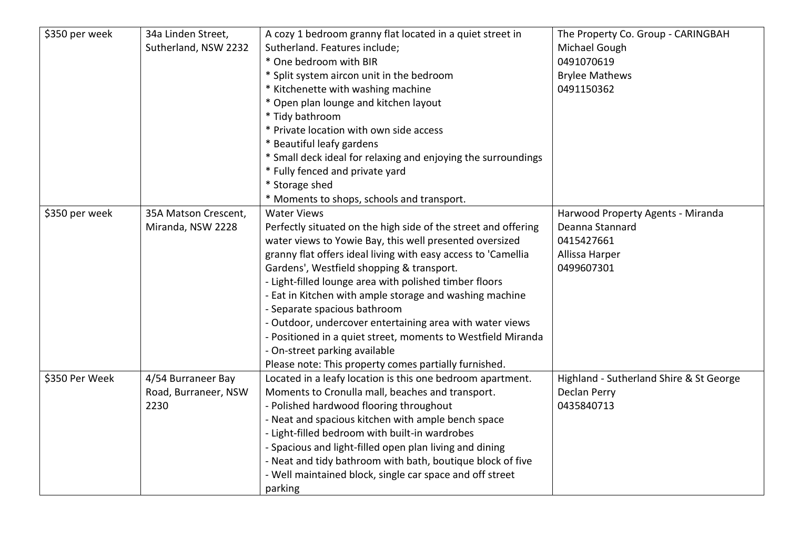| \$350 per week | 34a Linden Street,   | A cozy 1 bedroom granny flat located in a quiet street in      | The Property Co. Group - CARINGBAH      |
|----------------|----------------------|----------------------------------------------------------------|-----------------------------------------|
|                | Sutherland, NSW 2232 | Sutherland. Features include;                                  | Michael Gough                           |
|                |                      | * One bedroom with BIR                                         | 0491070619                              |
|                |                      | * Split system aircon unit in the bedroom                      | <b>Brylee Mathews</b>                   |
|                |                      | * Kitchenette with washing machine                             | 0491150362                              |
|                |                      | * Open plan lounge and kitchen layout                          |                                         |
|                |                      | * Tidy bathroom                                                |                                         |
|                |                      | * Private location with own side access                        |                                         |
|                |                      | * Beautiful leafy gardens                                      |                                         |
|                |                      | * Small deck ideal for relaxing and enjoying the surroundings  |                                         |
|                |                      | * Fully fenced and private yard                                |                                         |
|                |                      | * Storage shed                                                 |                                         |
|                |                      | * Moments to shops, schools and transport.                     |                                         |
| \$350 per week | 35A Matson Crescent, | <b>Water Views</b>                                             | Harwood Property Agents - Miranda       |
|                | Miranda, NSW 2228    | Perfectly situated on the high side of the street and offering | Deanna Stannard                         |
|                |                      | water views to Yowie Bay, this well presented oversized        | 0415427661                              |
|                |                      | granny flat offers ideal living with easy access to 'Camellia  | Allissa Harper                          |
|                |                      | Gardens', Westfield shopping & transport.                      | 0499607301                              |
|                |                      | - Light-filled lounge area with polished timber floors         |                                         |
|                |                      | - Eat in Kitchen with ample storage and washing machine        |                                         |
|                |                      | - Separate spacious bathroom                                   |                                         |
|                |                      | - Outdoor, undercover entertaining area with water views       |                                         |
|                |                      | - Positioned in a quiet street, moments to Westfield Miranda   |                                         |
|                |                      | - On-street parking available                                  |                                         |
|                |                      | Please note: This property comes partially furnished.          |                                         |
| \$350 Per Week | 4/54 Burraneer Bay   | Located in a leafy location is this one bedroom apartment.     | Highland - Sutherland Shire & St George |
|                | Road, Burraneer, NSW | Moments to Cronulla mall, beaches and transport.               | Declan Perry                            |
|                | 2230                 | - Polished hardwood flooring throughout                        | 0435840713                              |
|                |                      | - Neat and spacious kitchen with ample bench space             |                                         |
|                |                      | - Light-filled bedroom with built-in wardrobes                 |                                         |
|                |                      | - Spacious and light-filled open plan living and dining        |                                         |
|                |                      | - Neat and tidy bathroom with bath, boutique block of five     |                                         |
|                |                      | - Well maintained block, single car space and off street       |                                         |
|                |                      | parking                                                        |                                         |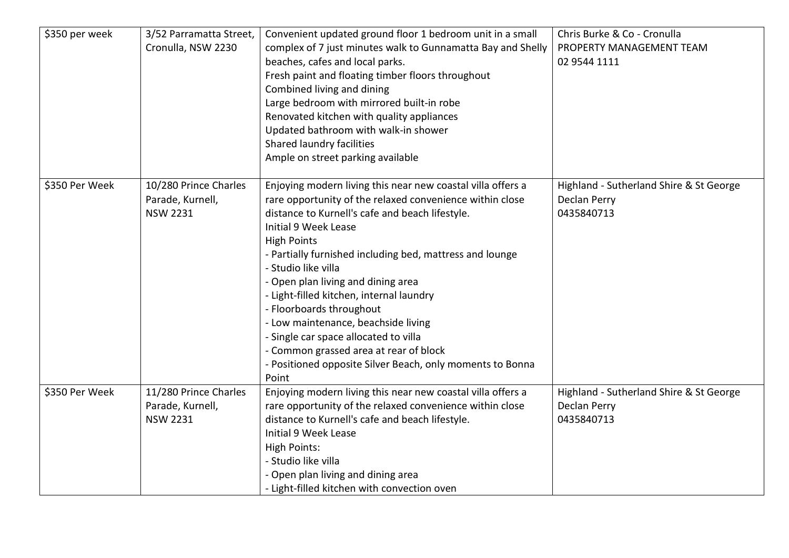| \$350 per week | 3/52 Parramatta Street,<br>Cronulla, NSW 2230                | Convenient updated ground floor 1 bedroom unit in a small<br>complex of 7 just minutes walk to Gunnamatta Bay and Shelly<br>beaches, cafes and local parks.<br>Fresh paint and floating timber floors throughout<br>Combined living and dining<br>Large bedroom with mirrored built-in robe<br>Renovated kitchen with quality appliances<br>Updated bathroom with walk-in shower<br>Shared laundry facilities<br>Ample on street parking available                                                                                                                                                                               | Chris Burke & Co - Cronulla<br>PROPERTY MANAGEMENT TEAM<br>02 9544 1111 |
|----------------|--------------------------------------------------------------|----------------------------------------------------------------------------------------------------------------------------------------------------------------------------------------------------------------------------------------------------------------------------------------------------------------------------------------------------------------------------------------------------------------------------------------------------------------------------------------------------------------------------------------------------------------------------------------------------------------------------------|-------------------------------------------------------------------------|
| \$350 Per Week | 10/280 Prince Charles<br>Parade, Kurnell,<br><b>NSW 2231</b> | Enjoying modern living this near new coastal villa offers a<br>rare opportunity of the relaxed convenience within close<br>distance to Kurnell's cafe and beach lifestyle.<br><b>Initial 9 Week Lease</b><br><b>High Points</b><br>- Partially furnished including bed, mattress and lounge<br>- Studio like villa<br>- Open plan living and dining area<br>- Light-filled kitchen, internal laundry<br>- Floorboards throughout<br>- Low maintenance, beachside living<br>- Single car space allocated to villa<br>- Common grassed area at rear of block<br>- Positioned opposite Silver Beach, only moments to Bonna<br>Point | Highland - Sutherland Shire & St George<br>Declan Perry<br>0435840713   |
| \$350 Per Week | 11/280 Prince Charles<br>Parade, Kurnell,<br><b>NSW 2231</b> | Enjoying modern living this near new coastal villa offers a<br>rare opportunity of the relaxed convenience within close<br>distance to Kurnell's cafe and beach lifestyle.<br>Initial 9 Week Lease<br><b>High Points:</b><br>- Studio like villa<br>- Open plan living and dining area<br>- Light-filled kitchen with convection oven                                                                                                                                                                                                                                                                                            | Highland - Sutherland Shire & St George<br>Declan Perry<br>0435840713   |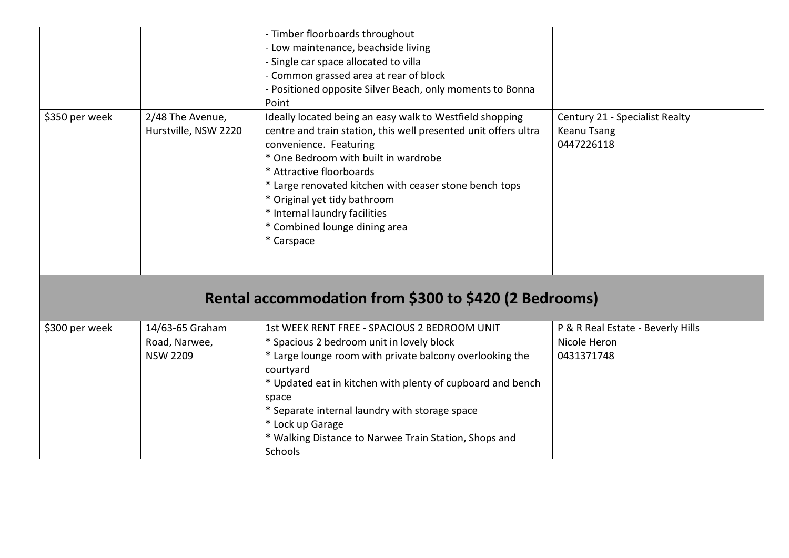|                |                                          | - Timber floorboards throughout<br>- Low maintenance, beachside living                                                                                                                                                                                                                                                                                                                              |                                                                    |
|----------------|------------------------------------------|-----------------------------------------------------------------------------------------------------------------------------------------------------------------------------------------------------------------------------------------------------------------------------------------------------------------------------------------------------------------------------------------------------|--------------------------------------------------------------------|
|                |                                          | - Single car space allocated to villa                                                                                                                                                                                                                                                                                                                                                               |                                                                    |
|                |                                          | - Common grassed area at rear of block                                                                                                                                                                                                                                                                                                                                                              |                                                                    |
|                |                                          | - Positioned opposite Silver Beach, only moments to Bonna                                                                                                                                                                                                                                                                                                                                           |                                                                    |
|                |                                          | Point                                                                                                                                                                                                                                                                                                                                                                                               |                                                                    |
| \$350 per week | 2/48 The Avenue,<br>Hurstville, NSW 2220 | Ideally located being an easy walk to Westfield shopping<br>centre and train station, this well presented unit offers ultra<br>convenience. Featuring<br>* One Bedroom with built in wardrobe<br>* Attractive floorboards<br>* Large renovated kitchen with ceaser stone bench tops<br>* Original yet tidy bathroom<br>* Internal laundry facilities<br>* Combined lounge dining area<br>* Carspace | Century 21 - Specialist Realty<br><b>Keanu Tsang</b><br>0447226118 |
|                |                                          | Rental accommodation from \$300 to \$420 (2 Bedrooms)                                                                                                                                                                                                                                                                                                                                               |                                                                    |
| \$300 per week | 14/63-65 Graham                          | 1st WEEK RENT FREE - SPACIOUS 2 BEDROOM UNIT                                                                                                                                                                                                                                                                                                                                                        | P & R Real Estate - Beverly Hills                                  |
|                | Road, Narwee,                            | * Spacious 2 bedroom unit in lovely block                                                                                                                                                                                                                                                                                                                                                           | Nicole Heron                                                       |
|                | <b>NSW 2209</b>                          | * Large lounge room with private balcony overlooking the                                                                                                                                                                                                                                                                                                                                            | 0431371748                                                         |
|                |                                          | courtyard                                                                                                                                                                                                                                                                                                                                                                                           |                                                                    |
|                |                                          | * Updated eat in kitchen with plenty of cupboard and bench                                                                                                                                                                                                                                                                                                                                          |                                                                    |
|                |                                          | space                                                                                                                                                                                                                                                                                                                                                                                               |                                                                    |
|                |                                          | * Separate internal laundry with storage space                                                                                                                                                                                                                                                                                                                                                      |                                                                    |
|                |                                          | * Lock up Garage                                                                                                                                                                                                                                                                                                                                                                                    |                                                                    |
|                |                                          | * Walking Distance to Narwee Train Station, Shops and                                                                                                                                                                                                                                                                                                                                               |                                                                    |
|                |                                          | Schools                                                                                                                                                                                                                                                                                                                                                                                             |                                                                    |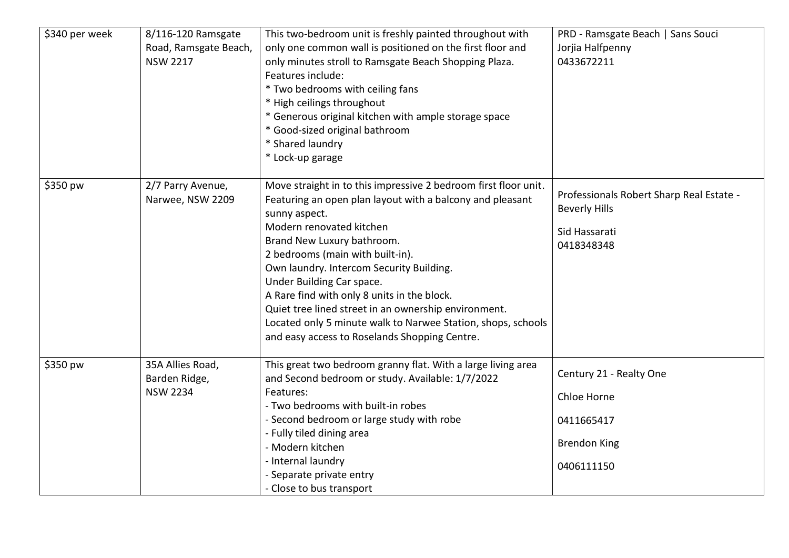| \$340 per week | 8/116-120 Ramsgate<br>Road, Ramsgate Beach,<br><b>NSW 2217</b> | This two-bedroom unit is freshly painted throughout with<br>only one common wall is positioned on the first floor and<br>only minutes stroll to Ramsgate Beach Shopping Plaza.<br>Features include:<br>* Two bedrooms with ceiling fans<br>* High ceilings throughout<br>* Generous original kitchen with ample storage space<br>* Good-sized original bathroom<br>* Shared laundry<br>* Lock-up garage                                                                                                                                      | PRD - Ramsgate Beach   Sans Souci<br>Jorjia Halfpenny<br>0433672211                             |
|----------------|----------------------------------------------------------------|----------------------------------------------------------------------------------------------------------------------------------------------------------------------------------------------------------------------------------------------------------------------------------------------------------------------------------------------------------------------------------------------------------------------------------------------------------------------------------------------------------------------------------------------|-------------------------------------------------------------------------------------------------|
| \$350 pw       | 2/7 Parry Avenue,<br>Narwee, NSW 2209                          | Move straight in to this impressive 2 bedroom first floor unit.<br>Featuring an open plan layout with a balcony and pleasant<br>sunny aspect.<br>Modern renovated kitchen<br>Brand New Luxury bathroom.<br>2 bedrooms (main with built-in).<br>Own laundry. Intercom Security Building.<br>Under Building Car space.<br>A Rare find with only 8 units in the block.<br>Quiet tree lined street in an ownership environment.<br>Located only 5 minute walk to Narwee Station, shops, schools<br>and easy access to Roselands Shopping Centre. | Professionals Robert Sharp Real Estate -<br><b>Beverly Hills</b><br>Sid Hassarati<br>0418348348 |
| \$350 pw       | 35A Allies Road,<br>Barden Ridge,<br><b>NSW 2234</b>           | This great two bedroom granny flat. With a large living area<br>and Second bedroom or study. Available: 1/7/2022<br>Features:<br>- Two bedrooms with built-in robes<br>- Second bedroom or large study with robe<br>- Fully tiled dining area<br>- Modern kitchen<br>- Internal laundry<br>- Separate private entry<br>- Close to bus transport                                                                                                                                                                                              | Century 21 - Realty One<br>Chloe Horne<br>0411665417<br><b>Brendon King</b><br>0406111150       |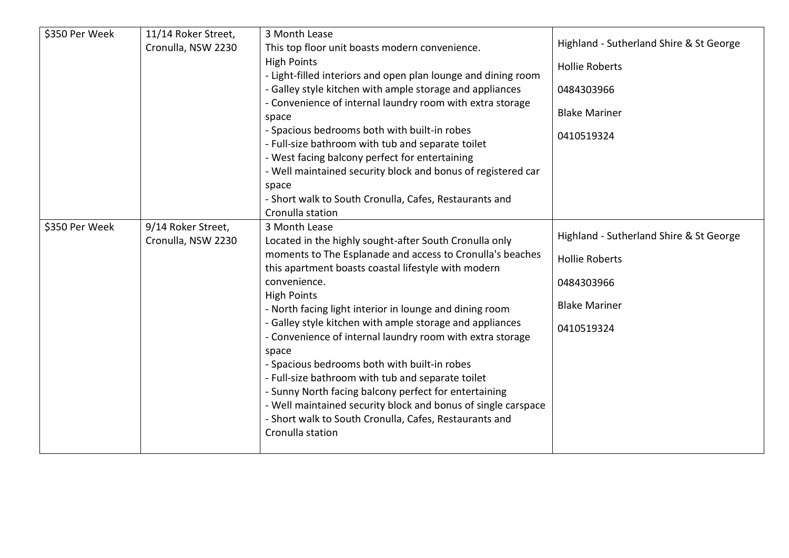| \$350 Per Week | 11/14 Roker Street,<br>Cronulla, NSW 2230 | 3 Month Lease<br>This top floor unit boasts modern convenience.<br><b>High Points</b><br>- Light-filled interiors and open plan lounge and dining room<br>- Galley style kitchen with ample storage and appliances<br>- Convenience of internal laundry room with extra storage<br>space<br>- Spacious bedrooms both with built-in robes<br>- Full-size bathroom with tub and separate toilet<br>- West facing balcony perfect for entertaining<br>- Well maintained security block and bonus of registered car<br>space<br>- Short walk to South Cronulla, Cafes, Restaurants and<br>Cronulla station                                                                                                                                      | Highland - Sutherland Shire & St George<br><b>Hollie Roberts</b><br>0484303966<br><b>Blake Mariner</b><br>0410519324 |
|----------------|-------------------------------------------|---------------------------------------------------------------------------------------------------------------------------------------------------------------------------------------------------------------------------------------------------------------------------------------------------------------------------------------------------------------------------------------------------------------------------------------------------------------------------------------------------------------------------------------------------------------------------------------------------------------------------------------------------------------------------------------------------------------------------------------------|----------------------------------------------------------------------------------------------------------------------|
| \$350 Per Week | 9/14 Roker Street,<br>Cronulla, NSW 2230  | 3 Month Lease<br>Located in the highly sought-after South Cronulla only<br>moments to The Esplanade and access to Cronulla's beaches<br>this apartment boasts coastal lifestyle with modern<br>convenience.<br><b>High Points</b><br>- North facing light interior in lounge and dining room<br>- Galley style kitchen with ample storage and appliances<br>- Convenience of internal laundry room with extra storage<br>space<br>- Spacious bedrooms both with built-in robes<br>- Full-size bathroom with tub and separate toilet<br>- Sunny North facing balcony perfect for entertaining<br>- Well maintained security block and bonus of single carspace<br>- Short walk to South Cronulla, Cafes, Restaurants and<br>Cronulla station | Highland - Sutherland Shire & St George<br><b>Hollie Roberts</b><br>0484303966<br><b>Blake Mariner</b><br>0410519324 |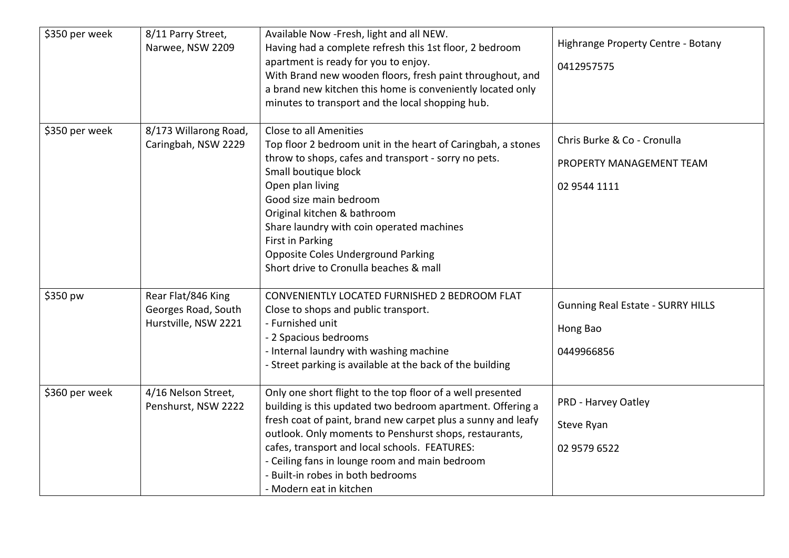| \$350 per week | 8/11 Parry Street,<br>Narwee, NSW 2209                            | Available Now -Fresh, light and all NEW.<br>Having had a complete refresh this 1st floor, 2 bedroom<br>apartment is ready for you to enjoy.<br>With Brand new wooden floors, fresh paint throughout, and<br>a brand new kitchen this home is conveniently located only<br>minutes to transport and the local shopping hub.                                                                                            | Highrange Property Centre - Botany<br>0412957575                        |
|----------------|-------------------------------------------------------------------|-----------------------------------------------------------------------------------------------------------------------------------------------------------------------------------------------------------------------------------------------------------------------------------------------------------------------------------------------------------------------------------------------------------------------|-------------------------------------------------------------------------|
| \$350 per week | 8/173 Willarong Road,<br>Caringbah, NSW 2229                      | Close to all Amenities<br>Top floor 2 bedroom unit in the heart of Caringbah, a stones<br>throw to shops, cafes and transport - sorry no pets.<br>Small boutique block<br>Open plan living<br>Good size main bedroom<br>Original kitchen & bathroom<br>Share laundry with coin operated machines<br><b>First in Parking</b><br><b>Opposite Coles Underground Parking</b><br>Short drive to Cronulla beaches & mall    | Chris Burke & Co - Cronulla<br>PROPERTY MANAGEMENT TEAM<br>02 9544 1111 |
| \$350 pw       | Rear Flat/846 King<br>Georges Road, South<br>Hurstville, NSW 2221 | CONVENIENTLY LOCATED FURNISHED 2 BEDROOM FLAT<br>Close to shops and public transport.<br>- Furnished unit<br>- 2 Spacious bedrooms<br>- Internal laundry with washing machine<br>- Street parking is available at the back of the building                                                                                                                                                                            | <b>Gunning Real Estate - SURRY HILLS</b><br>Hong Bao<br>0449966856      |
| \$360 per week | 4/16 Nelson Street,<br>Penshurst, NSW 2222                        | Only one short flight to the top floor of a well presented<br>building is this updated two bedroom apartment. Offering a<br>fresh coat of paint, brand new carpet plus a sunny and leafy<br>outlook. Only moments to Penshurst shops, restaurants,<br>cafes, transport and local schools. FEATURES:<br>- Ceiling fans in lounge room and main bedroom<br>- Built-in robes in both bedrooms<br>- Modern eat in kitchen | PRD - Harvey Oatley<br>Steve Ryan<br>02 9579 6522                       |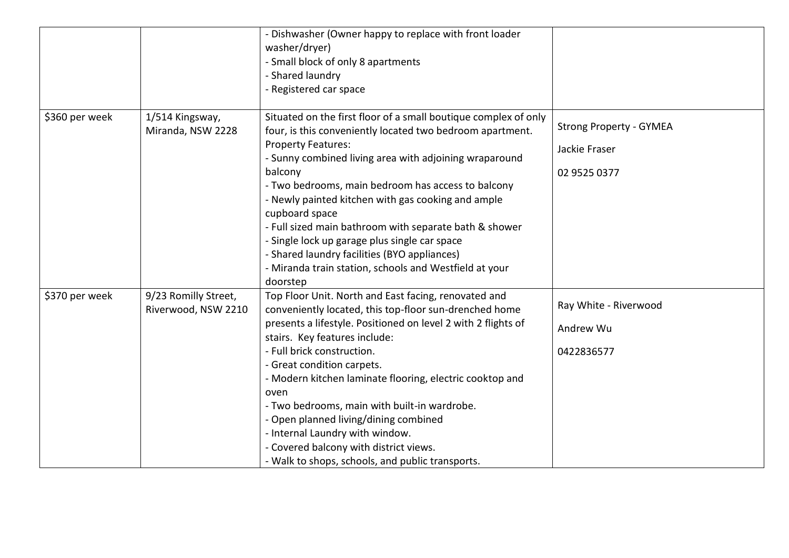|                |                                             | - Dishwasher (Owner happy to replace with front loader<br>washer/dryer)<br>- Small block of only 8 apartments<br>- Shared laundry<br>- Registered car space                                                                                                                                                                                                                                                                                                                                                                                                                            |                                                                 |
|----------------|---------------------------------------------|----------------------------------------------------------------------------------------------------------------------------------------------------------------------------------------------------------------------------------------------------------------------------------------------------------------------------------------------------------------------------------------------------------------------------------------------------------------------------------------------------------------------------------------------------------------------------------------|-----------------------------------------------------------------|
| \$360 per week | 1/514 Kingsway,<br>Miranda, NSW 2228        | Situated on the first floor of a small boutique complex of only<br>four, is this conveniently located two bedroom apartment.<br><b>Property Features:</b><br>- Sunny combined living area with adjoining wraparound<br>balcony<br>- Two bedrooms, main bedroom has access to balcony<br>- Newly painted kitchen with gas cooking and ample<br>cupboard space<br>- Full sized main bathroom with separate bath & shower<br>- Single lock up garage plus single car space<br>- Shared laundry facilities (BYO appliances)<br>- Miranda train station, schools and Westfield at your      | <b>Strong Property - GYMEA</b><br>Jackie Fraser<br>02 9525 0377 |
| \$370 per week | 9/23 Romilly Street,<br>Riverwood, NSW 2210 | doorstep<br>Top Floor Unit. North and East facing, renovated and<br>conveniently located, this top-floor sun-drenched home<br>presents a lifestyle. Positioned on level 2 with 2 flights of<br>stairs. Key features include:<br>- Full brick construction.<br>- Great condition carpets.<br>- Modern kitchen laminate flooring, electric cooktop and<br>oven<br>- Two bedrooms, main with built-in wardrobe.<br>- Open planned living/dining combined<br>- Internal Laundry with window.<br>- Covered balcony with district views.<br>- Walk to shops, schools, and public transports. | Ray White - Riverwood<br>Andrew Wu<br>0422836577                |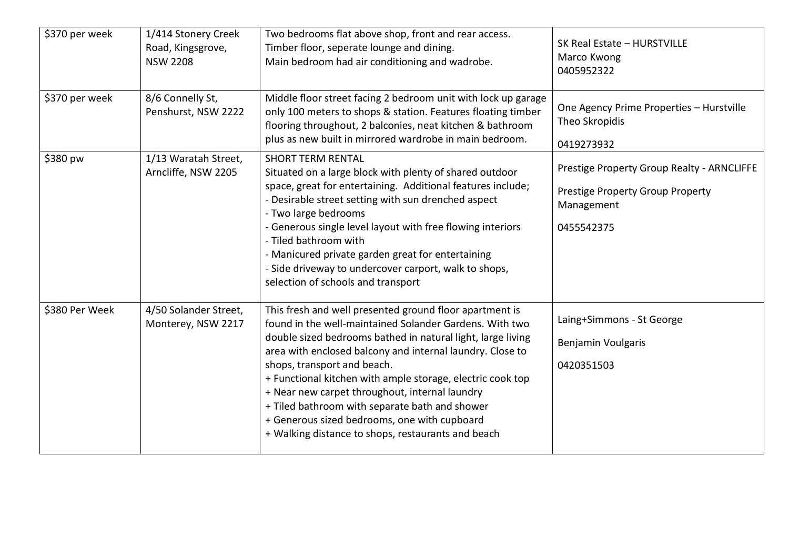| \$370 per week | 1/414 Stonery Creek<br>Road, Kingsgrove,<br><b>NSW 2208</b> | Two bedrooms flat above shop, front and rear access.<br>Timber floor, seperate lounge and dining.<br>Main bedroom had air conditioning and wadrobe.                                                                                                                                                                                                                                                                                                                                                                                                   | SK Real Estate - HURSTVILLE<br>Marco Kwong<br>0405952322                                                   |
|----------------|-------------------------------------------------------------|-------------------------------------------------------------------------------------------------------------------------------------------------------------------------------------------------------------------------------------------------------------------------------------------------------------------------------------------------------------------------------------------------------------------------------------------------------------------------------------------------------------------------------------------------------|------------------------------------------------------------------------------------------------------------|
| \$370 per week | 8/6 Connelly St,<br>Penshurst, NSW 2222                     | Middle floor street facing 2 bedroom unit with lock up garage<br>only 100 meters to shops & station. Features floating timber<br>flooring throughout, 2 balconies, neat kitchen & bathroom<br>plus as new built in mirrored wardrobe in main bedroom.                                                                                                                                                                                                                                                                                                 | One Agency Prime Properties - Hurstville<br>Theo Skropidis<br>0419273932                                   |
| \$380 pw       | 1/13 Waratah Street,<br>Arncliffe, NSW 2205                 | <b>SHORT TERM RENTAL</b><br>Situated on a large block with plenty of shared outdoor<br>space, great for entertaining. Additional features include;<br>- Desirable street setting with sun drenched aspect<br>- Two large bedrooms<br>- Generous single level layout with free flowing interiors<br>- Tiled bathroom with<br>- Manicured private garden great for entertaining<br>- Side driveway to undercover carport, walk to shops,<br>selection of schools and transport                                                                          | Prestige Property Group Realty - ARNCLIFFE<br>Prestige Property Group Property<br>Management<br>0455542375 |
| \$380 Per Week | 4/50 Solander Street,<br>Monterey, NSW 2217                 | This fresh and well presented ground floor apartment is<br>found in the well-maintained Solander Gardens. With two<br>double sized bedrooms bathed in natural light, large living<br>area with enclosed balcony and internal laundry. Close to<br>shops, transport and beach.<br>+ Functional kitchen with ample storage, electric cook top<br>+ Near new carpet throughout, internal laundry<br>+ Tiled bathroom with separate bath and shower<br>+ Generous sized bedrooms, one with cupboard<br>+ Walking distance to shops, restaurants and beach | Laing+Simmons - St George<br>Benjamin Voulgaris<br>0420351503                                              |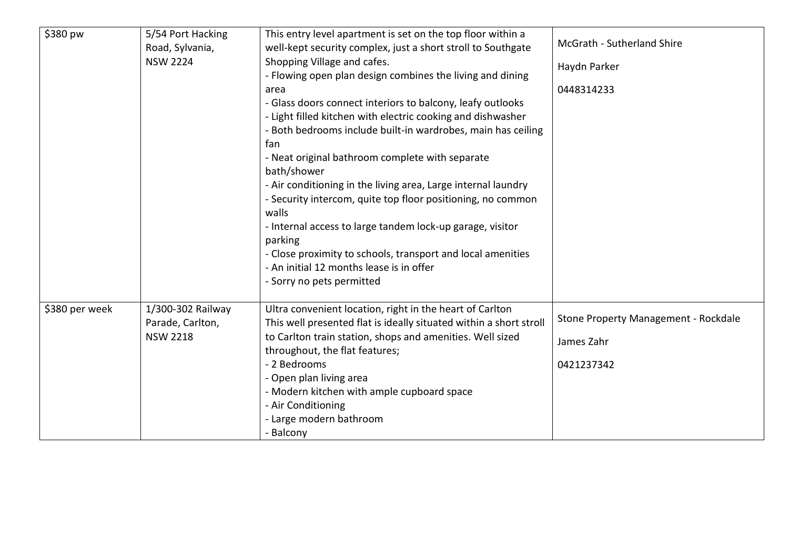| \$380 pw       | 5/54 Port Hacking<br>Road, Sylvania,<br><b>NSW 2224</b>  | This entry level apartment is set on the top floor within a<br>well-kept security complex, just a short stroll to Southgate<br>Shopping Village and cafes.<br>- Flowing open plan design combines the living and dining<br>area<br>- Glass doors connect interiors to balcony, leafy outlooks<br>- Light filled kitchen with electric cooking and dishwasher<br>- Both bedrooms include built-in wardrobes, main has ceiling<br>fan<br>- Neat original bathroom complete with separate<br>bath/shower<br>- Air conditioning in the living area, Large internal laundry<br>- Security intercom, quite top floor positioning, no common<br>walls<br>- Internal access to large tandem lock-up garage, visitor<br>parking<br>- Close proximity to schools, transport and local amenities | McGrath - Sutherland Shire<br>Haydn Parker<br>0448314233         |
|----------------|----------------------------------------------------------|---------------------------------------------------------------------------------------------------------------------------------------------------------------------------------------------------------------------------------------------------------------------------------------------------------------------------------------------------------------------------------------------------------------------------------------------------------------------------------------------------------------------------------------------------------------------------------------------------------------------------------------------------------------------------------------------------------------------------------------------------------------------------------------|------------------------------------------------------------------|
| \$380 per week | 1/300-302 Railway<br>Parade, Carlton,<br><b>NSW 2218</b> | - An initial 12 months lease is in offer<br>- Sorry no pets permitted<br>Ultra convenient location, right in the heart of Carlton<br>This well presented flat is ideally situated within a short stroll<br>to Carlton train station, shops and amenities. Well sized<br>throughout, the flat features;<br>- 2 Bedrooms<br>- Open plan living area<br>- Modern kitchen with ample cupboard space<br>- Air Conditioning<br>- Large modern bathroom<br>- Balcony                                                                                                                                                                                                                                                                                                                         | Stone Property Management - Rockdale<br>James Zahr<br>0421237342 |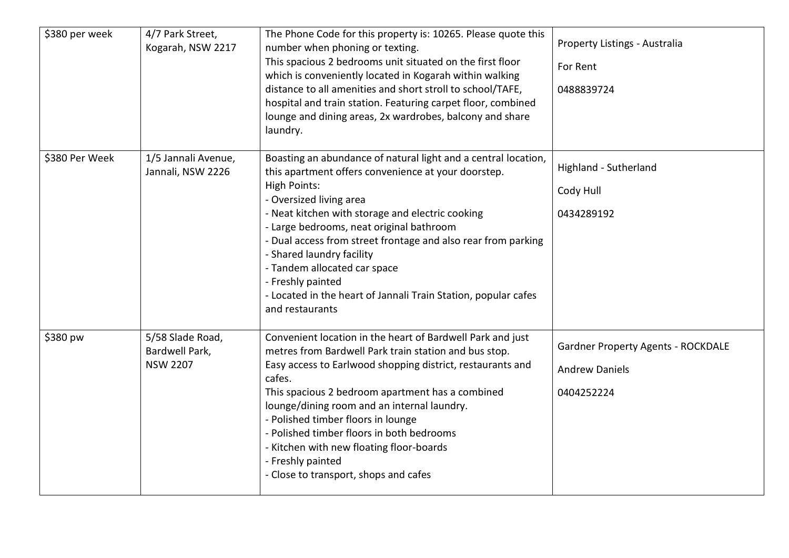| \$380 per week | 4/7 Park Street,<br>Kogarah, NSW 2217                 | The Phone Code for this property is: 10265. Please quote this<br>number when phoning or texting.<br>This spacious 2 bedrooms unit situated on the first floor<br>which is conveniently located in Kogarah within walking<br>distance to all amenities and short stroll to school/TAFE,<br>hospital and train station. Featuring carpet floor, combined<br>lounge and dining areas, 2x wardrobes, balcony and share<br>laundry.                                                                                  | Property Listings - Australia<br>For Rent<br>0488839724                          |
|----------------|-------------------------------------------------------|-----------------------------------------------------------------------------------------------------------------------------------------------------------------------------------------------------------------------------------------------------------------------------------------------------------------------------------------------------------------------------------------------------------------------------------------------------------------------------------------------------------------|----------------------------------------------------------------------------------|
| \$380 Per Week | 1/5 Jannali Avenue,<br>Jannali, NSW 2226              | Boasting an abundance of natural light and a central location,<br>this apartment offers convenience at your doorstep.<br><b>High Points:</b><br>- Oversized living area<br>- Neat kitchen with storage and electric cooking<br>- Large bedrooms, neat original bathroom<br>- Dual access from street frontage and also rear from parking<br>- Shared laundry facility<br>- Tandem allocated car space<br>- Freshly painted<br>- Located in the heart of Jannali Train Station, popular cafes<br>and restaurants | Highland - Sutherland<br>Cody Hull<br>0434289192                                 |
| \$380 pw       | 5/58 Slade Road,<br>Bardwell Park,<br><b>NSW 2207</b> | Convenient location in the heart of Bardwell Park and just<br>metres from Bardwell Park train station and bus stop.<br>Easy access to Earlwood shopping district, restaurants and<br>cafes.<br>This spacious 2 bedroom apartment has a combined<br>lounge/dining room and an internal laundry.<br>- Polished timber floors in lounge<br>- Polished timber floors in both bedrooms<br>- Kitchen with new floating floor-boards<br>- Freshly painted<br>- Close to transport, shops and cafes                     | <b>Gardner Property Agents - ROCKDALE</b><br><b>Andrew Daniels</b><br>0404252224 |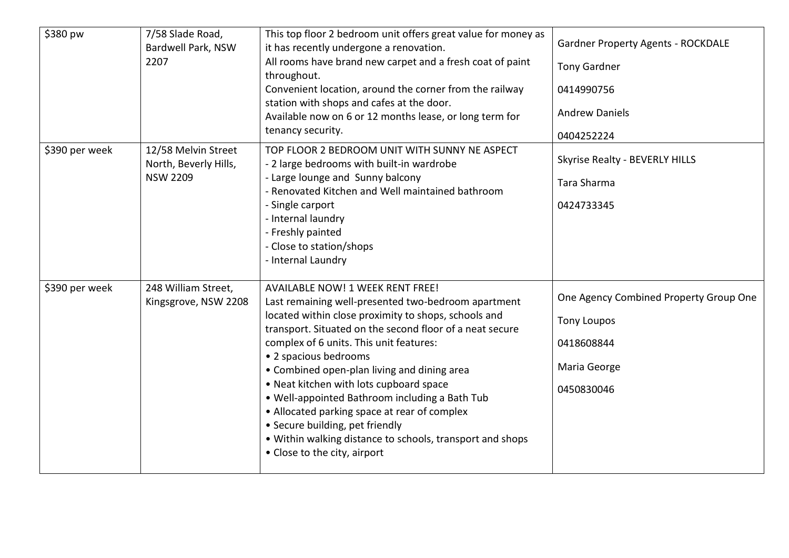| \$380 pw       | 7/58 Slade Road,<br>Bardwell Park, NSW<br>2207                  | This top floor 2 bedroom unit offers great value for money as<br>it has recently undergone a renovation.<br>All rooms have brand new carpet and a fresh coat of paint<br>throughout.<br>Convenient location, around the corner from the railway<br>station with shops and cafes at the door.<br>Available now on 6 or 12 months lease, or long term for<br>tenancy security.                                                                                                                                                                                                                                       | <b>Gardner Property Agents - ROCKDALE</b><br><b>Tony Gardner</b><br>0414990756<br><b>Andrew Daniels</b><br>0404252224 |
|----------------|-----------------------------------------------------------------|--------------------------------------------------------------------------------------------------------------------------------------------------------------------------------------------------------------------------------------------------------------------------------------------------------------------------------------------------------------------------------------------------------------------------------------------------------------------------------------------------------------------------------------------------------------------------------------------------------------------|-----------------------------------------------------------------------------------------------------------------------|
| \$390 per week | 12/58 Melvin Street<br>North, Beverly Hills,<br><b>NSW 2209</b> | TOP FLOOR 2 BEDROOM UNIT WITH SUNNY NE ASPECT<br>- 2 large bedrooms with built-in wardrobe<br>- Large lounge and Sunny balcony<br>- Renovated Kitchen and Well maintained bathroom<br>- Single carport<br>- Internal laundry<br>- Freshly painted<br>- Close to station/shops<br>- Internal Laundry                                                                                                                                                                                                                                                                                                                | Skyrise Realty - BEVERLY HILLS<br>Tara Sharma<br>0424733345                                                           |
| \$390 per week | 248 William Street,<br>Kingsgrove, NSW 2208                     | <b>AVAILABLE NOW! 1 WEEK RENT FREE!</b><br>Last remaining well-presented two-bedroom apartment<br>located within close proximity to shops, schools and<br>transport. Situated on the second floor of a neat secure<br>complex of 6 units. This unit features:<br>• 2 spacious bedrooms<br>• Combined open-plan living and dining area<br>• Neat kitchen with lots cupboard space<br>. Well-appointed Bathroom including a Bath Tub<br>• Allocated parking space at rear of complex<br>• Secure building, pet friendly<br>• Within walking distance to schools, transport and shops<br>• Close to the city, airport | One Agency Combined Property Group One<br><b>Tony Loupos</b><br>0418608844<br>Maria George<br>0450830046              |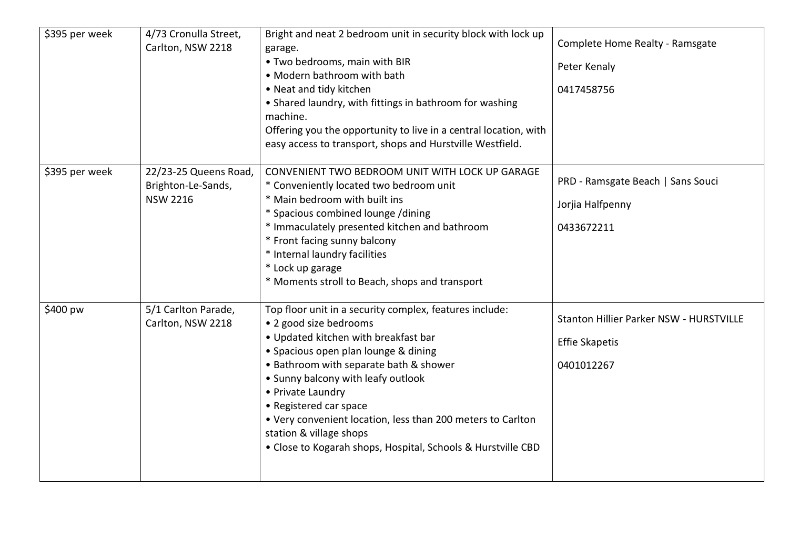| \$395 per week | 4/73 Cronulla Street,<br>Carlton, NSW 2218                     | Bright and neat 2 bedroom unit in security block with lock up<br>garage.<br>. Two bedrooms, main with BIR<br>• Modern bathroom with bath<br>• Neat and tidy kitchen<br>• Shared laundry, with fittings in bathroom for washing<br>machine.<br>Offering you the opportunity to live in a central location, with<br>easy access to transport, shops and Hurstville Westfield.                                                                                | Complete Home Realty - Ramsgate<br>Peter Kenaly<br>0417458756                  |
|----------------|----------------------------------------------------------------|------------------------------------------------------------------------------------------------------------------------------------------------------------------------------------------------------------------------------------------------------------------------------------------------------------------------------------------------------------------------------------------------------------------------------------------------------------|--------------------------------------------------------------------------------|
| \$395 per week | 22/23-25 Queens Road,<br>Brighton-Le-Sands,<br><b>NSW 2216</b> | CONVENIENT TWO BEDROOM UNIT WITH LOCK UP GARAGE<br>* Conveniently located two bedroom unit<br>* Main bedroom with built ins<br>* Spacious combined lounge /dining<br>* Immaculately presented kitchen and bathroom<br>* Front facing sunny balcony<br>* Internal laundry facilities<br>* Lock up garage<br>* Moments stroll to Beach, shops and transport                                                                                                  | PRD - Ramsgate Beach   Sans Souci<br>Jorjia Halfpenny<br>0433672211            |
| \$400 pw       | 5/1 Carlton Parade,<br>Carlton, NSW 2218                       | Top floor unit in a security complex, features include:<br>• 2 good size bedrooms<br>• Updated kitchen with breakfast bar<br>• Spacious open plan lounge & dining<br>• Bathroom with separate bath & shower<br>• Sunny balcony with leafy outlook<br>• Private Laundry<br>• Registered car space<br>• Very convenient location, less than 200 meters to Carlton<br>station & village shops<br>• Close to Kogarah shops, Hospital, Schools & Hurstville CBD | Stanton Hillier Parker NSW - HURSTVILLE<br><b>Effie Skapetis</b><br>0401012267 |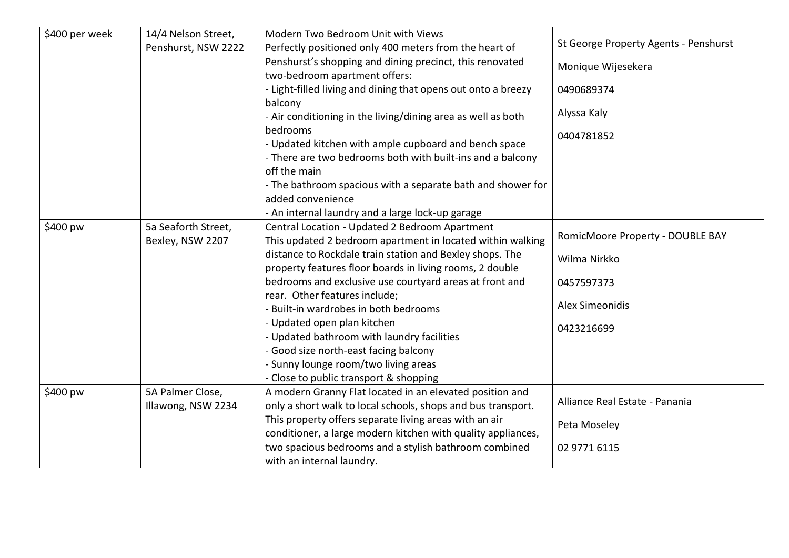| \$400 per week | 14/4 Nelson Street, | Modern Two Bedroom Unit with Views                            |                                       |
|----------------|---------------------|---------------------------------------------------------------|---------------------------------------|
|                | Penshurst, NSW 2222 | Perfectly positioned only 400 meters from the heart of        | St George Property Agents - Penshurst |
|                |                     | Penshurst's shopping and dining precinct, this renovated      | Monique Wijesekera                    |
|                |                     | two-bedroom apartment offers:                                 |                                       |
|                |                     | - Light-filled living and dining that opens out onto a breezy | 0490689374                            |
|                |                     | balcony                                                       |                                       |
|                |                     | - Air conditioning in the living/dining area as well as both  | Alyssa Kaly                           |
|                |                     | bedrooms                                                      | 0404781852                            |
|                |                     | - Updated kitchen with ample cupboard and bench space         |                                       |
|                |                     | - There are two bedrooms both with built-ins and a balcony    |                                       |
|                |                     | off the main                                                  |                                       |
|                |                     | - The bathroom spacious with a separate bath and shower for   |                                       |
|                |                     | added convenience                                             |                                       |
|                |                     | - An internal laundry and a large lock-up garage              |                                       |
| \$400 pw       | 5a Seaforth Street, | Central Location - Updated 2 Bedroom Apartment                |                                       |
|                | Bexley, NSW 2207    | This updated 2 bedroom apartment in located within walking    | RomicMoore Property - DOUBLE BAY      |
|                |                     | distance to Rockdale train station and Bexley shops. The      | Wilma Nirkko                          |
|                |                     | property features floor boards in living rooms, 2 double      |                                       |
|                |                     | bedrooms and exclusive use courtyard areas at front and       | 0457597373                            |
|                |                     | rear. Other features include;                                 |                                       |
|                |                     | - Built-in wardrobes in both bedrooms                         | <b>Alex Simeonidis</b>                |
|                |                     | - Updated open plan kitchen                                   | 0423216699                            |
|                |                     | - Updated bathroom with laundry facilities                    |                                       |
|                |                     | - Good size north-east facing balcony                         |                                       |
|                |                     | - Sunny lounge room/two living areas                          |                                       |
|                |                     | - Close to public transport & shopping                        |                                       |
| \$400 pw       | 5A Palmer Close,    | A modern Granny Flat located in an elevated position and      |                                       |
|                | Illawong, NSW 2234  | only a short walk to local schools, shops and bus transport.  | Alliance Real Estate - Panania        |
|                |                     | This property offers separate living areas with an air        | Peta Moseley                          |
|                |                     | conditioner, a large modern kitchen with quality appliances,  |                                       |
|                |                     | two spacious bedrooms and a stylish bathroom combined         | 02 9771 6115                          |
|                |                     | with an internal laundry.                                     |                                       |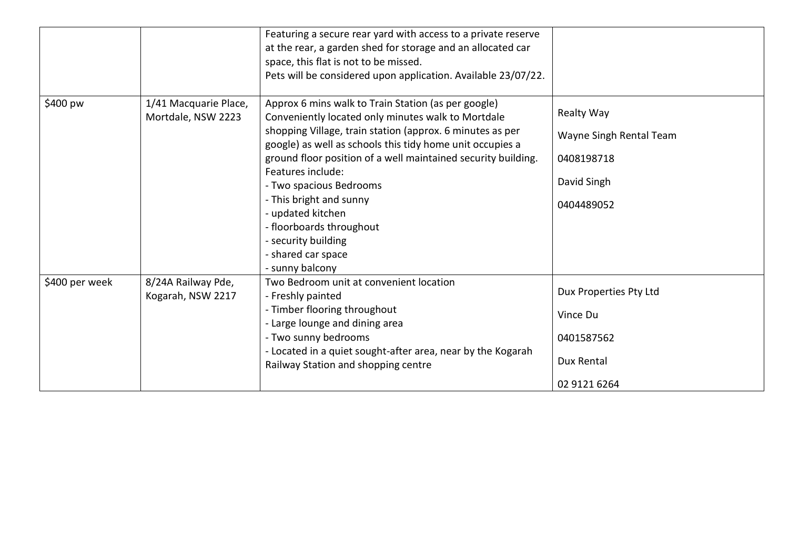|                |                                             | Featuring a secure rear yard with access to a private reserve<br>at the rear, a garden shed for storage and an allocated car<br>space, this flat is not to be missed.<br>Pets will be considered upon application. Available 23/07/22.                                                                                                                                                                                                                                        |                                                                                         |
|----------------|---------------------------------------------|-------------------------------------------------------------------------------------------------------------------------------------------------------------------------------------------------------------------------------------------------------------------------------------------------------------------------------------------------------------------------------------------------------------------------------------------------------------------------------|-----------------------------------------------------------------------------------------|
| \$400 pw       | 1/41 Macquarie Place,<br>Mortdale, NSW 2223 | Approx 6 mins walk to Train Station (as per google)<br>Conveniently located only minutes walk to Mortdale<br>shopping Village, train station (approx. 6 minutes as per<br>google) as well as schools this tidy home unit occupies a<br>ground floor position of a well maintained security building.<br>Features include:<br>- Two spacious Bedrooms<br>- This bright and sunny<br>- updated kitchen<br>- floorboards throughout<br>- security building<br>- shared car space | <b>Realty Way</b><br>Wayne Singh Rental Team<br>0408198718<br>David Singh<br>0404489052 |
| \$400 per week | 8/24A Railway Pde,<br>Kogarah, NSW 2217     | - sunny balcony<br>Two Bedroom unit at convenient location<br>- Freshly painted<br>- Timber flooring throughout<br>- Large lounge and dining area<br>- Two sunny bedrooms<br>- Located in a quiet sought-after area, near by the Kogarah<br>Railway Station and shopping centre                                                                                                                                                                                               | Dux Properties Pty Ltd<br>Vince Du<br>0401587562<br>Dux Rental<br>02 9121 6264          |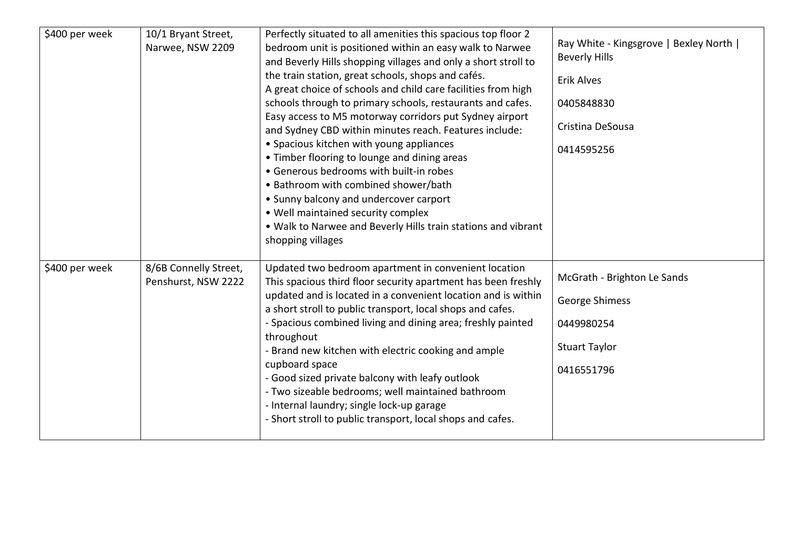| \$400 per week | 10/1 Bryant Street,<br>Narwee, NSW 2209      | Perfectly situated to all amenities this spacious top floor 2<br>bedroom unit is positioned within an easy walk to Narwee<br>and Beverly Hills shopping villages and only a short stroll to<br>the train station, great schools, shops and cafés.<br>A great choice of schools and child care facilities from high<br>schools through to primary schools, restaurants and cafes.<br>Easy access to M5 motorway corridors put Sydney airport<br>and Sydney CBD within minutes reach. Features include:<br>• Spacious kitchen with young appliances<br>• Timber flooring to lounge and dining areas<br>• Generous bedrooms with built-in robes<br>• Bathroom with combined shower/bath<br>• Sunny balcony and undercover carport<br>. Well maintained security complex<br>. Walk to Narwee and Beverly Hills train stations and vibrant<br>shopping villages | Ray White - Kingsgrove   Bexley North  <br><b>Beverly Hills</b><br><b>Erik Alves</b><br>0405848830<br>Cristina DeSousa<br>0414595256 |
|----------------|----------------------------------------------|------------------------------------------------------------------------------------------------------------------------------------------------------------------------------------------------------------------------------------------------------------------------------------------------------------------------------------------------------------------------------------------------------------------------------------------------------------------------------------------------------------------------------------------------------------------------------------------------------------------------------------------------------------------------------------------------------------------------------------------------------------------------------------------------------------------------------------------------------------|--------------------------------------------------------------------------------------------------------------------------------------|
| \$400 per week | 8/6B Connelly Street,<br>Penshurst, NSW 2222 | Updated two bedroom apartment in convenient location<br>This spacious third floor security apartment has been freshly<br>updated and is located in a convenient location and is within<br>a short stroll to public transport, local shops and cafes.<br>- Spacious combined living and dining area; freshly painted<br>throughout<br>- Brand new kitchen with electric cooking and ample<br>cupboard space<br>- Good sized private balcony with leafy outlook<br>- Two sizeable bedrooms; well maintained bathroom<br>- Internal laundry; single lock-up garage<br>- Short stroll to public transport, local shops and cafes.                                                                                                                                                                                                                              | McGrath - Brighton Le Sands<br>George Shimess<br>0449980254<br><b>Stuart Taylor</b><br>0416551796                                    |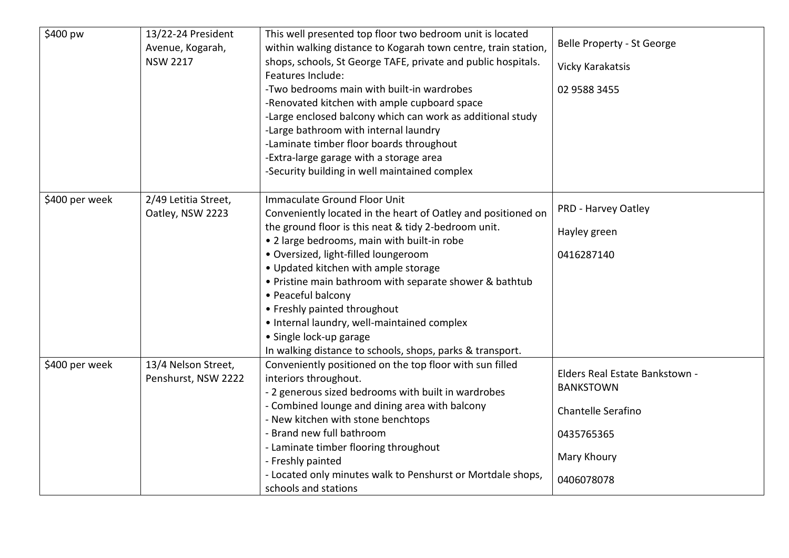| \$400 pw       | 13/22-24 President<br>Avenue, Kogarah,<br><b>NSW 2217</b> | This well presented top floor two bedroom unit is located<br>within walking distance to Kogarah town centre, train station,<br>shops, schools, St George TAFE, private and public hospitals.<br>Features Include:<br>-Two bedrooms main with built-in wardrobes<br>-Renovated kitchen with ample cupboard space<br>-Large enclosed balcony which can work as additional study<br>-Large bathroom with internal laundry<br>-Laminate timber floor boards throughout<br>-Extra-large garage with a storage area<br>-Security building in well maintained complex | Belle Property - St George<br>Vicky Karakatsis<br>02 9588 3455                                                      |
|----------------|-----------------------------------------------------------|----------------------------------------------------------------------------------------------------------------------------------------------------------------------------------------------------------------------------------------------------------------------------------------------------------------------------------------------------------------------------------------------------------------------------------------------------------------------------------------------------------------------------------------------------------------|---------------------------------------------------------------------------------------------------------------------|
| \$400 per week | 2/49 Letitia Street,<br>Oatley, NSW 2223                  | Immaculate Ground Floor Unit<br>Conveniently located in the heart of Oatley and positioned on<br>the ground floor is this neat & tidy 2-bedroom unit.<br>• 2 large bedrooms, main with built-in robe<br>· Oversized, light-filled loungeroom<br>• Updated kitchen with ample storage<br>• Pristine main bathroom with separate shower & bathtub<br>• Peaceful balcony<br>• Freshly painted throughout<br>• Internal laundry, well-maintained complex<br>• Single lock-up garage<br>In walking distance to schools, shops, parks & transport.                   | PRD - Harvey Oatley<br>Hayley green<br>0416287140                                                                   |
| \$400 per week | 13/4 Nelson Street,<br>Penshurst, NSW 2222                | Conveniently positioned on the top floor with sun filled<br>interiors throughout.<br>- 2 generous sized bedrooms with built in wardrobes<br>- Combined lounge and dining area with balcony<br>- New kitchen with stone benchtops<br>- Brand new full bathroom<br>- Laminate timber flooring throughout<br>- Freshly painted<br>- Located only minutes walk to Penshurst or Mortdale shops,<br>schools and stations                                                                                                                                             | Elders Real Estate Bankstown -<br><b>BANKSTOWN</b><br>Chantelle Serafino<br>0435765365<br>Mary Khoury<br>0406078078 |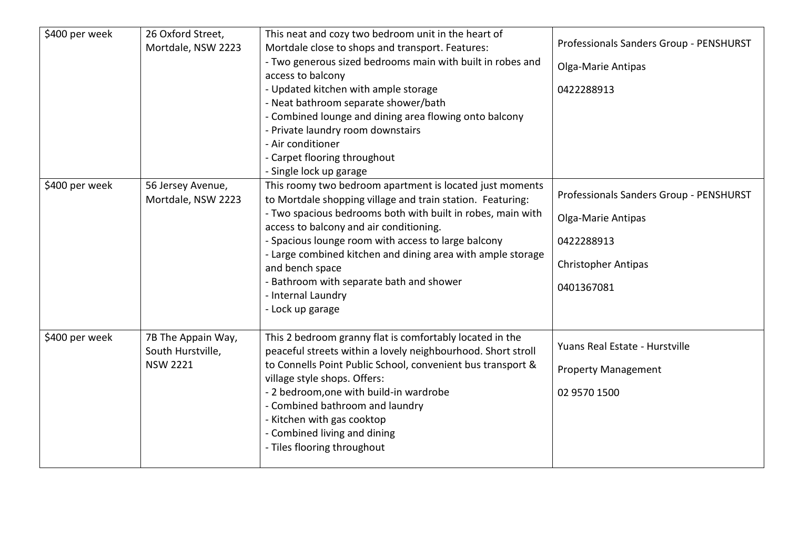| \$400 per week | 26 Oxford Street,<br>Mortdale, NSW 2223                    | This neat and cozy two bedroom unit in the heart of<br>Mortdale close to shops and transport. Features:<br>- Two generous sized bedrooms main with built in robes and<br>access to balcony<br>- Updated kitchen with ample storage<br>- Neat bathroom separate shower/bath<br>- Combined lounge and dining area flowing onto balcony<br>- Private laundry room downstairs<br>- Air conditioner<br>- Carpet flooring throughout<br>- Single lock up garage       | Professionals Sanders Group - PENSHURST<br>Olga-Marie Antipas<br>0422288913                                             |
|----------------|------------------------------------------------------------|-----------------------------------------------------------------------------------------------------------------------------------------------------------------------------------------------------------------------------------------------------------------------------------------------------------------------------------------------------------------------------------------------------------------------------------------------------------------|-------------------------------------------------------------------------------------------------------------------------|
| \$400 per week | 56 Jersey Avenue,<br>Mortdale, NSW 2223                    | This roomy two bedroom apartment is located just moments<br>to Mortdale shopping village and train station. Featuring:<br>- Two spacious bedrooms both with built in robes, main with<br>access to balcony and air conditioning.<br>- Spacious lounge room with access to large balcony<br>- Large combined kitchen and dining area with ample storage<br>and bench space<br>- Bathroom with separate bath and shower<br>- Internal Laundry<br>- Lock up garage | Professionals Sanders Group - PENSHURST<br>Olga-Marie Antipas<br>0422288913<br><b>Christopher Antipas</b><br>0401367081 |
| \$400 per week | 7B The Appain Way,<br>South Hurstville,<br><b>NSW 2221</b> | This 2 bedroom granny flat is comfortably located in the<br>peaceful streets within a lovely neighbourhood. Short stroll<br>to Connells Point Public School, convenient bus transport &<br>village style shops. Offers:<br>- 2 bedroom, one with build-in wardrobe<br>- Combined bathroom and laundry<br>- Kitchen with gas cooktop<br>- Combined living and dining<br>- Tiles flooring throughout                                                              | Yuans Real Estate - Hurstville<br><b>Property Management</b><br>02 9570 1500                                            |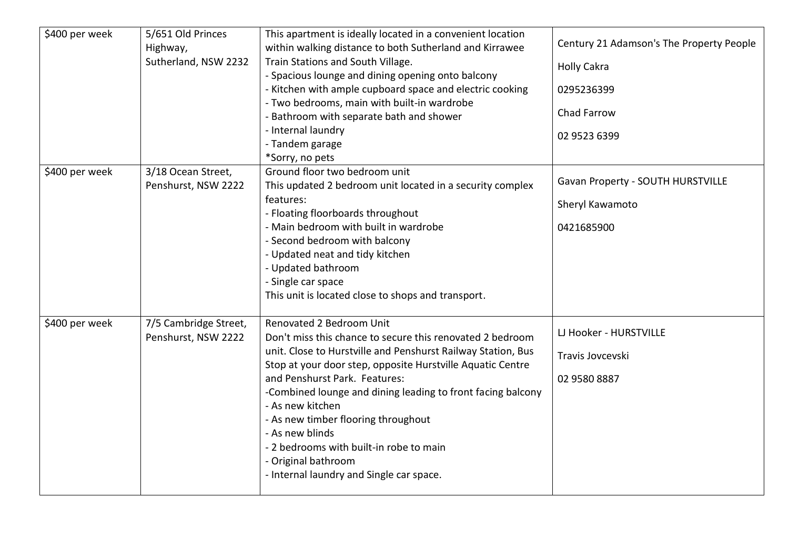| \$400 per week | 5/651 Old Princes<br>Highway,<br>Sutherland, NSW 2232 | This apartment is ideally located in a convenient location<br>within walking distance to both Sutherland and Kirrawee<br>Train Stations and South Village.<br>- Spacious lounge and dining opening onto balcony<br>- Kitchen with ample cupboard space and electric cooking<br>- Two bedrooms, main with built-in wardrobe<br>- Bathroom with separate bath and shower<br>- Internal laundry<br>- Tandem garage<br>*Sorry, no pets                                                                              | Century 21 Adamson's The Property People<br><b>Holly Cakra</b><br>0295236399<br>Chad Farrow<br>02 9523 6399 |
|----------------|-------------------------------------------------------|-----------------------------------------------------------------------------------------------------------------------------------------------------------------------------------------------------------------------------------------------------------------------------------------------------------------------------------------------------------------------------------------------------------------------------------------------------------------------------------------------------------------|-------------------------------------------------------------------------------------------------------------|
| \$400 per week | 3/18 Ocean Street,<br>Penshurst, NSW 2222             | Ground floor two bedroom unit<br>This updated 2 bedroom unit located in a security complex<br>features:<br>- Floating floorboards throughout<br>- Main bedroom with built in wardrobe<br>- Second bedroom with balcony<br>- Updated neat and tidy kitchen<br>- Updated bathroom<br>- Single car space<br>This unit is located close to shops and transport.                                                                                                                                                     | Gavan Property - SOUTH HURSTVILLE<br>Sheryl Kawamoto<br>0421685900                                          |
| \$400 per week | 7/5 Cambridge Street,<br>Penshurst, NSW 2222          | Renovated 2 Bedroom Unit<br>Don't miss this chance to secure this renovated 2 bedroom<br>unit. Close to Hurstville and Penshurst Railway Station, Bus<br>Stop at your door step, opposite Hurstville Aquatic Centre<br>and Penshurst Park. Features:<br>-Combined lounge and dining leading to front facing balcony<br>- As new kitchen<br>- As new timber flooring throughout<br>- As new blinds<br>- 2 bedrooms with built-in robe to main<br>- Original bathroom<br>- Internal laundry and Single car space. | LJ Hooker - HURSTVILLE<br>Travis Jovcevski<br>02 9580 8887                                                  |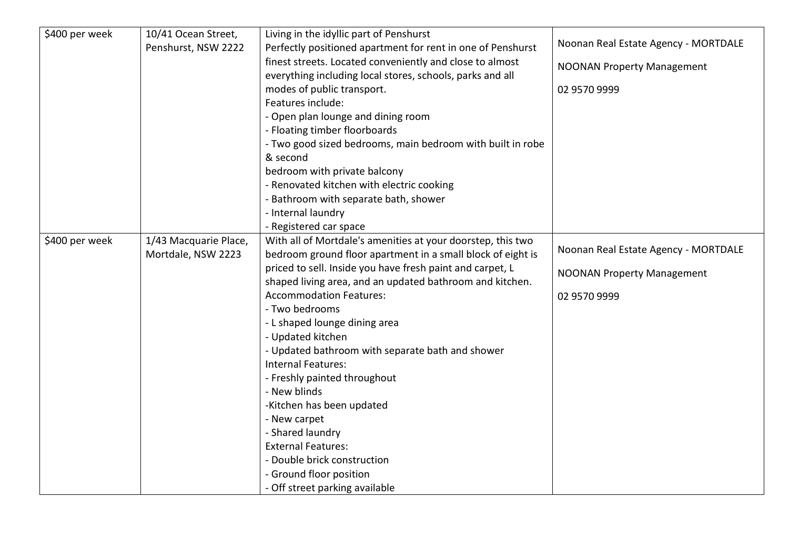| \$400 per week | 10/41 Ocean Street,   | Living in the idyllic part of Penshurst                     |                                      |
|----------------|-----------------------|-------------------------------------------------------------|--------------------------------------|
|                | Penshurst, NSW 2222   | Perfectly positioned apartment for rent in one of Penshurst | Noonan Real Estate Agency - MORTDALE |
|                |                       | finest streets. Located conveniently and close to almost    | <b>NOONAN Property Management</b>    |
|                |                       | everything including local stores, schools, parks and all   |                                      |
|                |                       | modes of public transport.                                  | 02 9570 9999                         |
|                |                       | Features include:                                           |                                      |
|                |                       | - Open plan lounge and dining room                          |                                      |
|                |                       | - Floating timber floorboards                               |                                      |
|                |                       | - Two good sized bedrooms, main bedroom with built in robe  |                                      |
|                |                       | & second                                                    |                                      |
|                |                       | bedroom with private balcony                                |                                      |
|                |                       | - Renovated kitchen with electric cooking                   |                                      |
|                |                       | - Bathroom with separate bath, shower                       |                                      |
|                |                       | - Internal laundry                                          |                                      |
|                |                       | - Registered car space                                      |                                      |
| \$400 per week | 1/43 Macquarie Place, | With all of Mortdale's amenities at your doorstep, this two |                                      |
|                | Mortdale, NSW 2223    | bedroom ground floor apartment in a small block of eight is | Noonan Real Estate Agency - MORTDALE |
|                |                       | priced to sell. Inside you have fresh paint and carpet, L   | <b>NOONAN Property Management</b>    |
|                |                       | shaped living area, and an updated bathroom and kitchen.    |                                      |
|                |                       | <b>Accommodation Features:</b>                              | 02 9570 9999                         |
|                |                       | - Two bedrooms                                              |                                      |
|                |                       | - L shaped lounge dining area                               |                                      |
|                |                       | - Updated kitchen                                           |                                      |
|                |                       | - Updated bathroom with separate bath and shower            |                                      |
|                |                       | <b>Internal Features:</b>                                   |                                      |
|                |                       | - Freshly painted throughout                                |                                      |
|                |                       | - New blinds                                                |                                      |
|                |                       | -Kitchen has been updated                                   |                                      |
|                |                       | - New carpet                                                |                                      |
|                |                       | - Shared laundry                                            |                                      |
|                |                       | <b>External Features:</b>                                   |                                      |
|                |                       | - Double brick construction                                 |                                      |
|                |                       | - Ground floor position                                     |                                      |
|                |                       | - Off street parking available                              |                                      |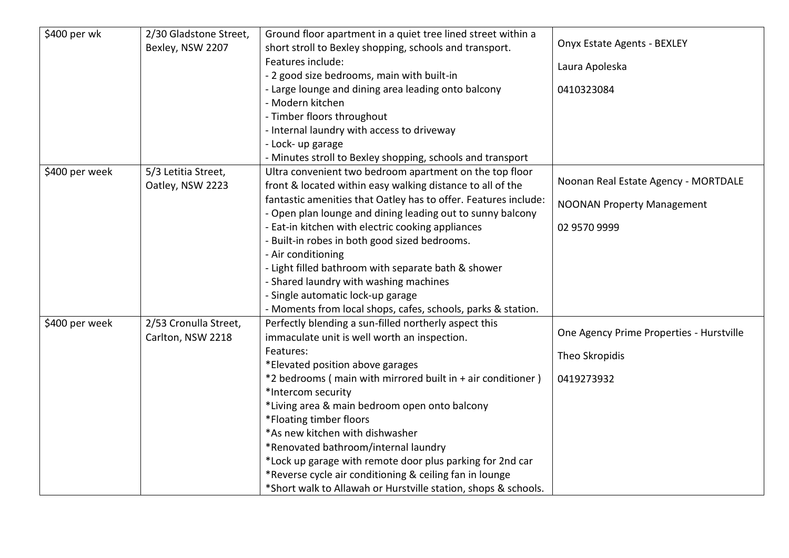| \$400 per wk   | 2/30 Gladstone Street, | Ground floor apartment in a quiet tree lined street within a    |                                          |
|----------------|------------------------|-----------------------------------------------------------------|------------------------------------------|
|                | Bexley, NSW 2207       | short stroll to Bexley shopping, schools and transport.         | <b>Onyx Estate Agents - BEXLEY</b>       |
|                |                        | Features include:                                               | Laura Apoleska                           |
|                |                        | - 2 good size bedrooms, main with built-in                      |                                          |
|                |                        | - Large lounge and dining area leading onto balcony             | 0410323084                               |
|                |                        | - Modern kitchen                                                |                                          |
|                |                        | - Timber floors throughout                                      |                                          |
|                |                        | - Internal laundry with access to driveway                      |                                          |
|                |                        | - Lock- up garage                                               |                                          |
|                |                        | - Minutes stroll to Bexley shopping, schools and transport      |                                          |
| \$400 per week | 5/3 Letitia Street,    | Ultra convenient two bedroom apartment on the top floor         |                                          |
|                | Oatley, NSW 2223       | front & located within easy walking distance to all of the      | Noonan Real Estate Agency - MORTDALE     |
|                |                        | fantastic amenities that Oatley has to offer. Features include: | <b>NOONAN Property Management</b>        |
|                |                        | - Open plan lounge and dining leading out to sunny balcony      |                                          |
|                |                        | - Eat-in kitchen with electric cooking appliances               | 02 9570 9999                             |
|                |                        | - Built-in robes in both good sized bedrooms.                   |                                          |
|                |                        | - Air conditioning                                              |                                          |
|                |                        | - Light filled bathroom with separate bath & shower             |                                          |
|                |                        | - Shared laundry with washing machines                          |                                          |
|                |                        | - Single automatic lock-up garage                               |                                          |
|                |                        | - Moments from local shops, cafes, schools, parks & station.    |                                          |
| \$400 per week | 2/53 Cronulla Street,  | Perfectly blending a sun-filled northerly aspect this           |                                          |
|                | Carlton, NSW 2218      | immaculate unit is well worth an inspection.                    | One Agency Prime Properties - Hurstville |
|                |                        | Features:                                                       | Theo Skropidis                           |
|                |                        | *Elevated position above garages                                |                                          |
|                |                        | *2 bedrooms (main with mirrored built in + air conditioner)     | 0419273932                               |
|                |                        | *Intercom security                                              |                                          |
|                |                        | *Living area & main bedroom open onto balcony                   |                                          |
|                |                        | *Floating timber floors                                         |                                          |
|                |                        | *As new kitchen with dishwasher                                 |                                          |
|                |                        | *Renovated bathroom/internal laundry                            |                                          |
|                |                        | *Lock up garage with remote door plus parking for 2nd car       |                                          |
|                |                        | *Reverse cycle air conditioning & ceiling fan in lounge         |                                          |
|                |                        | *Short walk to Allawah or Hurstville station, shops & schools.  |                                          |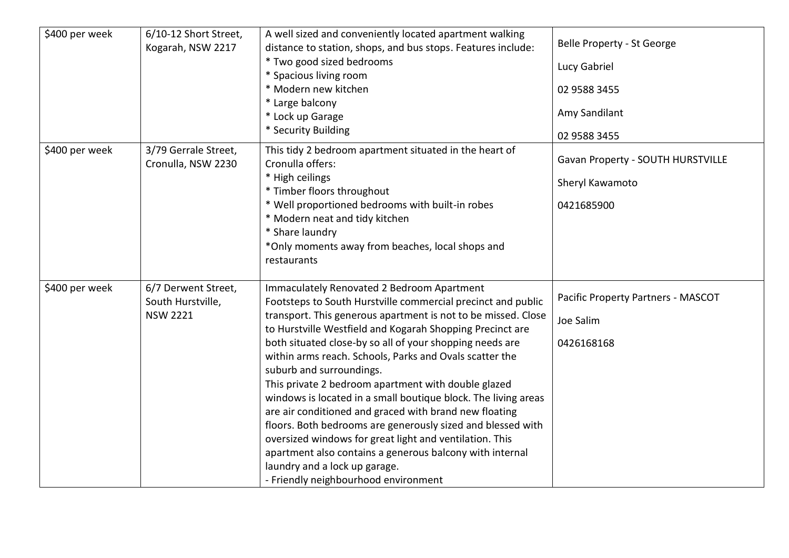| \$400 per week | 6/10-12 Short Street,<br>Kogarah, NSW 2217                  | A well sized and conveniently located apartment walking<br>distance to station, shops, and bus stops. Features include:<br>* Two good sized bedrooms<br>* Spacious living room<br>* Modern new kitchen<br>* Large balcony<br>* Lock up Garage                                                                                                                                                                                                                                                                                                                                                                                                                                                                                                                                                                                                 | Belle Property - St George<br>Lucy Gabriel<br>02 9588 3455<br>Amy Sandilant        |
|----------------|-------------------------------------------------------------|-----------------------------------------------------------------------------------------------------------------------------------------------------------------------------------------------------------------------------------------------------------------------------------------------------------------------------------------------------------------------------------------------------------------------------------------------------------------------------------------------------------------------------------------------------------------------------------------------------------------------------------------------------------------------------------------------------------------------------------------------------------------------------------------------------------------------------------------------|------------------------------------------------------------------------------------|
| \$400 per week | 3/79 Gerrale Street,<br>Cronulla, NSW 2230                  | * Security Building<br>This tidy 2 bedroom apartment situated in the heart of<br>Cronulla offers:<br>* High ceilings<br>* Timber floors throughout<br>* Well proportioned bedrooms with built-in robes<br>* Modern neat and tidy kitchen<br>* Share laundry<br>*Only moments away from beaches, local shops and<br>restaurants                                                                                                                                                                                                                                                                                                                                                                                                                                                                                                                | 02 9588 3455<br>Gavan Property - SOUTH HURSTVILLE<br>Sheryl Kawamoto<br>0421685900 |
| \$400 per week | 6/7 Derwent Street,<br>South Hurstville,<br><b>NSW 2221</b> | Immaculately Renovated 2 Bedroom Apartment<br>Footsteps to South Hurstville commercial precinct and public<br>transport. This generous apartment is not to be missed. Close<br>to Hurstville Westfield and Kogarah Shopping Precinct are<br>both situated close-by so all of your shopping needs are<br>within arms reach. Schools, Parks and Ovals scatter the<br>suburb and surroundings.<br>This private 2 bedroom apartment with double glazed<br>windows is located in a small boutique block. The living areas<br>are air conditioned and graced with brand new floating<br>floors. Both bedrooms are generously sized and blessed with<br>oversized windows for great light and ventilation. This<br>apartment also contains a generous balcony with internal<br>laundry and a lock up garage.<br>- Friendly neighbourhood environment | Pacific Property Partners - MASCOT<br>Joe Salim<br>0426168168                      |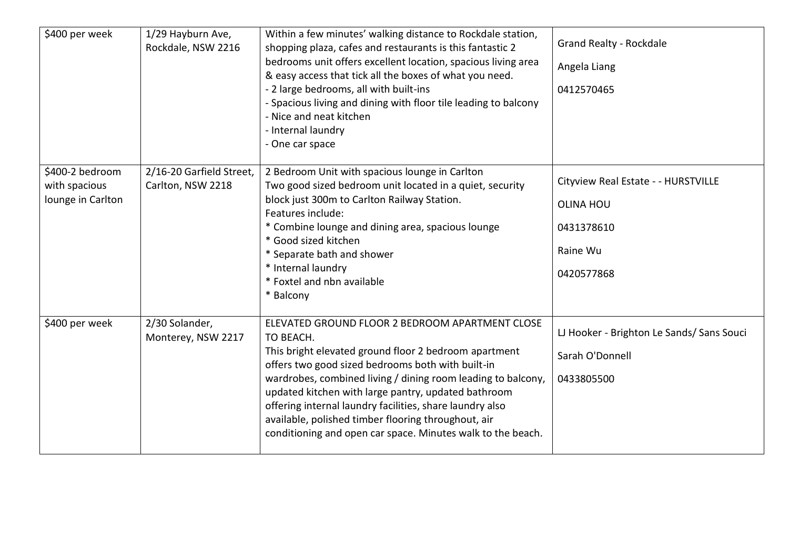| \$400 per week                                        | 1/29 Hayburn Ave,<br>Rockdale, NSW 2216       | Within a few minutes' walking distance to Rockdale station,<br>shopping plaza, cafes and restaurants is this fantastic 2<br>bedrooms unit offers excellent location, spacious living area<br>& easy access that tick all the boxes of what you need.<br>- 2 large bedrooms, all with built-ins<br>- Spacious living and dining with floor tile leading to balcony<br>- Nice and neat kitchen<br>- Internal laundry<br>- One car space                                               | <b>Grand Realty - Rockdale</b><br>Angela Liang<br>0412570465                                    |
|-------------------------------------------------------|-----------------------------------------------|-------------------------------------------------------------------------------------------------------------------------------------------------------------------------------------------------------------------------------------------------------------------------------------------------------------------------------------------------------------------------------------------------------------------------------------------------------------------------------------|-------------------------------------------------------------------------------------------------|
| \$400-2 bedroom<br>with spacious<br>lounge in Carlton | 2/16-20 Garfield Street,<br>Carlton, NSW 2218 | 2 Bedroom Unit with spacious lounge in Carlton<br>Two good sized bedroom unit located in a quiet, security<br>block just 300m to Carlton Railway Station.<br>Features include:<br>* Combine lounge and dining area, spacious lounge<br>* Good sized kitchen<br>* Separate bath and shower<br>* Internal laundry<br>* Foxtel and nbn available<br>* Balcony                                                                                                                          | Cityview Real Estate - - HURSTVILLE<br><b>OLINA HOU</b><br>0431378610<br>Raine Wu<br>0420577868 |
| \$400 per week                                        | 2/30 Solander,<br>Monterey, NSW 2217          | ELEVATED GROUND FLOOR 2 BEDROOM APARTMENT CLOSE<br>TO BEACH.<br>This bright elevated ground floor 2 bedroom apartment<br>offers two good sized bedrooms both with built-in<br>wardrobes, combined living / dining room leading to balcony,<br>updated kitchen with large pantry, updated bathroom<br>offering internal laundry facilities, share laundry also<br>available, polished timber flooring throughout, air<br>conditioning and open car space. Minutes walk to the beach. | LJ Hooker - Brighton Le Sands/ Sans Souci<br>Sarah O'Donnell<br>0433805500                      |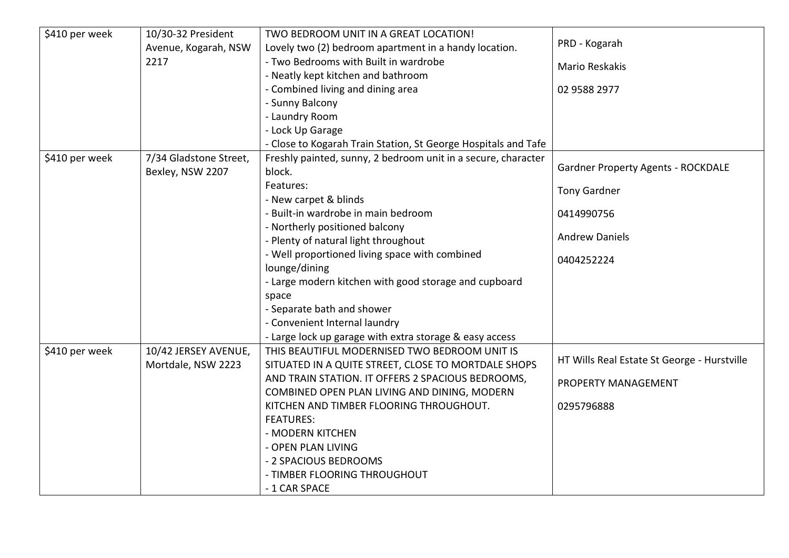| \$410 per week | 10/30-32 President     | TWO BEDROOM UNIT IN A GREAT LOCATION!                          |                                             |
|----------------|------------------------|----------------------------------------------------------------|---------------------------------------------|
|                | Avenue, Kogarah, NSW   | Lovely two (2) bedroom apartment in a handy location.          | PRD - Kogarah                               |
|                | 2217                   | - Two Bedrooms with Built in wardrobe                          | <b>Mario Reskakis</b>                       |
|                |                        | - Neatly kept kitchen and bathroom                             |                                             |
|                |                        | - Combined living and dining area                              | 02 9588 2977                                |
|                |                        | - Sunny Balcony                                                |                                             |
|                |                        | - Laundry Room                                                 |                                             |
|                |                        | - Lock Up Garage                                               |                                             |
|                |                        | - Close to Kogarah Train Station, St George Hospitals and Tafe |                                             |
| \$410 per week | 7/34 Gladstone Street, | Freshly painted, sunny, 2 bedroom unit in a secure, character  |                                             |
|                | Bexley, NSW 2207       | block.                                                         | <b>Gardner Property Agents - ROCKDALE</b>   |
|                |                        | Features:                                                      | <b>Tony Gardner</b>                         |
|                |                        | - New carpet & blinds                                          |                                             |
|                |                        | - Built-in wardrobe in main bedroom                            | 0414990756                                  |
|                |                        | - Northerly positioned balcony                                 |                                             |
|                |                        | - Plenty of natural light throughout                           | <b>Andrew Daniels</b>                       |
|                |                        | - Well proportioned living space with combined                 | 0404252224                                  |
|                |                        | lounge/dining                                                  |                                             |
|                |                        | - Large modern kitchen with good storage and cupboard          |                                             |
|                |                        | space                                                          |                                             |
|                |                        | - Separate bath and shower                                     |                                             |
|                |                        | - Convenient Internal laundry                                  |                                             |
|                |                        | - Large lock up garage with extra storage & easy access        |                                             |
| \$410 per week | 10/42 JERSEY AVENUE,   | THIS BEAUTIFUL MODERNISED TWO BEDROOM UNIT IS                  |                                             |
|                | Mortdale, NSW 2223     | SITUATED IN A QUITE STREET, CLOSE TO MORTDALE SHOPS            | HT Wills Real Estate St George - Hurstville |
|                |                        | AND TRAIN STATION. IT OFFERS 2 SPACIOUS BEDROOMS,              | PROPERTY MANAGEMENT                         |
|                |                        | COMBINED OPEN PLAN LIVING AND DINING, MODERN                   |                                             |
|                |                        | KITCHEN AND TIMBER FLOORING THROUGHOUT.                        | 0295796888                                  |
|                |                        | <b>FEATURES:</b>                                               |                                             |
|                |                        | - MODERN KITCHEN                                               |                                             |
|                |                        | - OPEN PLAN LIVING                                             |                                             |
|                |                        | - 2 SPACIOUS BEDROOMS                                          |                                             |
|                |                        | - TIMBER FLOORING THROUGHOUT                                   |                                             |
|                |                        | - 1 CAR SPACE                                                  |                                             |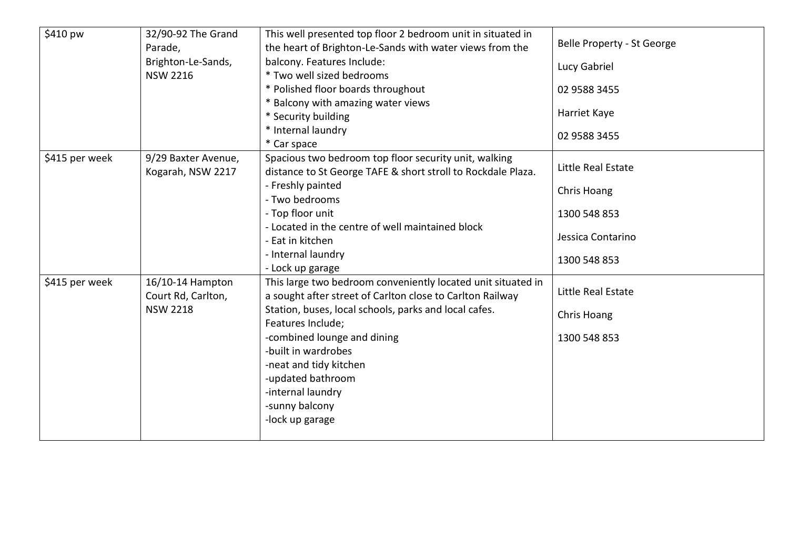| \$410 pw       | 32/90-92 The Grand<br>Parade,<br>Brighton-Le-Sands,<br><b>NSW 2216</b> | This well presented top floor 2 bedroom unit in situated in<br>the heart of Brighton-Le-Sands with water views from the<br>balcony. Features Include:<br>* Two well sized bedrooms<br>* Polished floor boards throughout                                                                                                                                               | Belle Property - St George<br>Lucy Gabriel<br>02 9588 3455                             |
|----------------|------------------------------------------------------------------------|------------------------------------------------------------------------------------------------------------------------------------------------------------------------------------------------------------------------------------------------------------------------------------------------------------------------------------------------------------------------|----------------------------------------------------------------------------------------|
|                |                                                                        | * Balcony with amazing water views<br>* Security building<br>* Internal laundry<br>* Car space                                                                                                                                                                                                                                                                         | Harriet Kaye<br>02 9588 3455                                                           |
| \$415 per week | 9/29 Baxter Avenue,<br>Kogarah, NSW 2217                               | Spacious two bedroom top floor security unit, walking<br>distance to St George TAFE & short stroll to Rockdale Plaza.<br>- Freshly painted<br>- Two bedrooms<br>- Top floor unit<br>- Located in the centre of well maintained block<br>- Eat in kitchen<br>- Internal laundry<br>- Lock up garage                                                                     | Little Real Estate<br>Chris Hoang<br>1300 548 853<br>Jessica Contarino<br>1300 548 853 |
| \$415 per week | 16/10-14 Hampton<br>Court Rd, Carlton,<br><b>NSW 2218</b>              | This large two bedroom conveniently located unit situated in<br>a sought after street of Carlton close to Carlton Railway<br>Station, buses, local schools, parks and local cafes.<br>Features Include;<br>-combined lounge and dining<br>-built in wardrobes<br>-neat and tidy kitchen<br>-updated bathroom<br>-internal laundry<br>-sunny balcony<br>-lock up garage | Little Real Estate<br>Chris Hoang<br>1300 548 853                                      |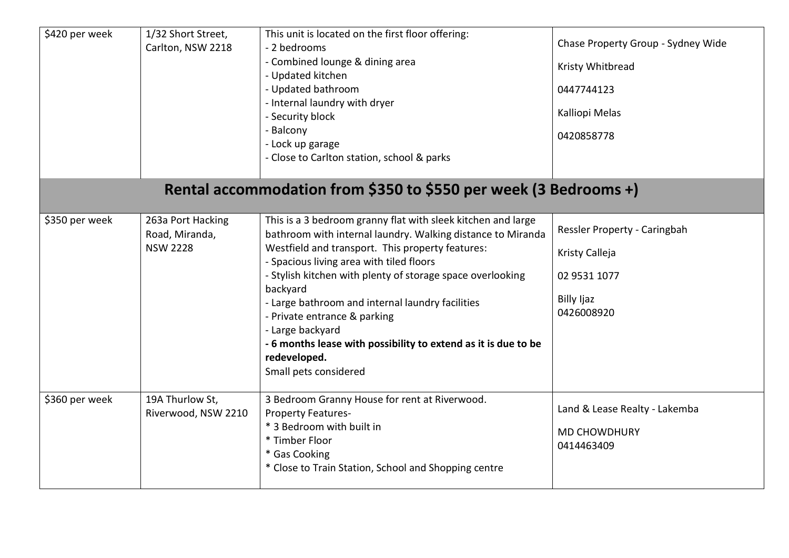| \$420 per week | 1/32 Short Street,<br>Carlton, NSW 2218                | This unit is located on the first floor offering:<br>- 2 bedrooms<br>- Combined lounge & dining area<br>- Updated kitchen<br>- Updated bathroom<br>- Internal laundry with dryer<br>- Security block<br>- Balcony<br>- Lock up garage<br>- Close to Carlton station, school & parks                                                                                                                                                                                                                                      | Chase Property Group - Sydney Wide<br>Kristy Whitbread<br>0447744123<br>Kalliopi Melas<br>0420858778 |
|----------------|--------------------------------------------------------|--------------------------------------------------------------------------------------------------------------------------------------------------------------------------------------------------------------------------------------------------------------------------------------------------------------------------------------------------------------------------------------------------------------------------------------------------------------------------------------------------------------------------|------------------------------------------------------------------------------------------------------|
|                |                                                        | Rental accommodation from \$350 to \$550 per week (3 Bedrooms +)                                                                                                                                                                                                                                                                                                                                                                                                                                                         |                                                                                                      |
| \$350 per week | 263a Port Hacking<br>Road, Miranda,<br><b>NSW 2228</b> | This is a 3 bedroom granny flat with sleek kitchen and large<br>bathroom with internal laundry. Walking distance to Miranda<br>Westfield and transport. This property features:<br>- Spacious living area with tiled floors<br>- Stylish kitchen with plenty of storage space overlooking<br>backyard<br>- Large bathroom and internal laundry facilities<br>- Private entrance & parking<br>- Large backyard<br>- 6 months lease with possibility to extend as it is due to be<br>redeveloped.<br>Small pets considered | Ressler Property - Caringbah<br>Kristy Calleja<br>02 9531 1077<br>Billy Ijaz<br>0426008920           |
| \$360 per week | 19A Thurlow St,<br>Riverwood, NSW 2210                 | 3 Bedroom Granny House for rent at Riverwood.<br><b>Property Features-</b><br>* 3 Bedroom with built in<br>* Timber Floor<br>* Gas Cooking<br>* Close to Train Station, School and Shopping centre                                                                                                                                                                                                                                                                                                                       | Land & Lease Realty - Lakemba<br><b>MD CHOWDHURY</b><br>0414463409                                   |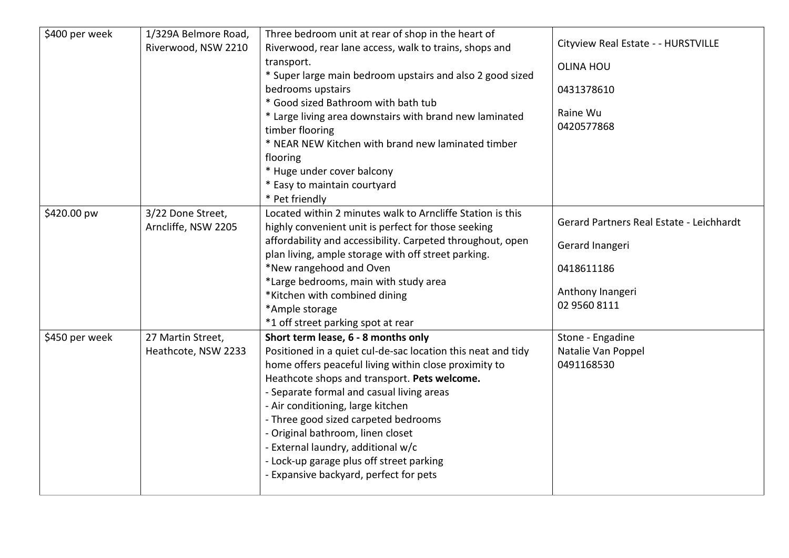| \$400 per week | 1/329A Belmore Road,<br>Riverwood, NSW 2210 | Three bedroom unit at rear of shop in the heart of<br>Riverwood, rear lane access, walk to trains, shops and<br>transport.<br>* Super large main bedroom upstairs and also 2 good sized<br>bedrooms upstairs<br>* Good sized Bathroom with bath tub<br>* Large living area downstairs with brand new laminated<br>timber flooring<br>* NEAR NEW Kitchen with brand new laminated timber<br>flooring<br>* Huge under cover balcony<br>* Easy to maintain courtyard<br>* Pet friendly                     | Cityview Real Estate - - HURSTVILLE<br><b>OLINA HOU</b><br>0431378610<br>Raine Wu<br>0420577868               |
|----------------|---------------------------------------------|---------------------------------------------------------------------------------------------------------------------------------------------------------------------------------------------------------------------------------------------------------------------------------------------------------------------------------------------------------------------------------------------------------------------------------------------------------------------------------------------------------|---------------------------------------------------------------------------------------------------------------|
| \$420.00 pw    | 3/22 Done Street,<br>Arncliffe, NSW 2205    | Located within 2 minutes walk to Arncliffe Station is this<br>highly convenient unit is perfect for those seeking<br>affordability and accessibility. Carpeted throughout, open<br>plan living, ample storage with off street parking.<br>*New rangehood and Oven<br>*Large bedrooms, main with study area<br>*Kitchen with combined dining<br>*Ample storage<br>*1 off street parking spot at rear                                                                                                     | Gerard Partners Real Estate - Leichhardt<br>Gerard Inangeri<br>0418611186<br>Anthony Inangeri<br>02 9560 8111 |
| \$450 per week | 27 Martin Street,<br>Heathcote, NSW 2233    | Short term lease, 6 - 8 months only<br>Positioned in a quiet cul-de-sac location this neat and tidy<br>home offers peaceful living within close proximity to<br>Heathcote shops and transport. Pets welcome.<br>- Separate formal and casual living areas<br>- Air conditioning, large kitchen<br>- Three good sized carpeted bedrooms<br>- Original bathroom, linen closet<br>- External laundry, additional w/c<br>- Lock-up garage plus off street parking<br>- Expansive backyard, perfect for pets | Stone - Engadine<br>Natalie Van Poppel<br>0491168530                                                          |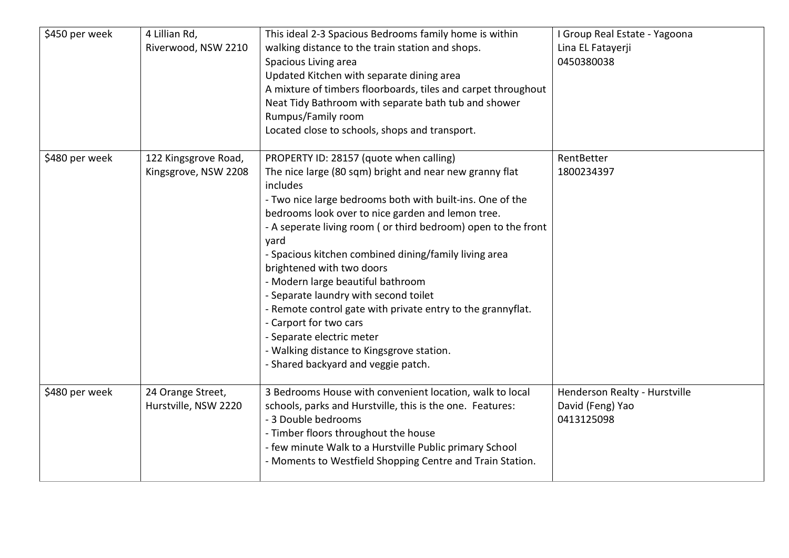| \$450 per week | 4 Lillian Rd,<br>Riverwood, NSW 2210         | This ideal 2-3 Spacious Bedrooms family home is within<br>walking distance to the train station and shops.<br>Spacious Living area<br>Updated Kitchen with separate dining area<br>A mixture of timbers floorboards, tiles and carpet throughout<br>Neat Tidy Bathroom with separate bath tub and shower<br>Rumpus/Family room<br>Located close to schools, shops and transport.                                                                                                                                                                                                                                                                                                         | I Group Real Estate - Yagoona<br>Lina EL Fatayerji<br>0450380038 |
|----------------|----------------------------------------------|------------------------------------------------------------------------------------------------------------------------------------------------------------------------------------------------------------------------------------------------------------------------------------------------------------------------------------------------------------------------------------------------------------------------------------------------------------------------------------------------------------------------------------------------------------------------------------------------------------------------------------------------------------------------------------------|------------------------------------------------------------------|
| \$480 per week | 122 Kingsgrove Road,<br>Kingsgrove, NSW 2208 | PROPERTY ID: 28157 (quote when calling)<br>The nice large (80 sqm) bright and near new granny flat<br>includes<br>- Two nice large bedrooms both with built-ins. One of the<br>bedrooms look over to nice garden and lemon tree.<br>- A seperate living room ( or third bedroom) open to the front<br>yard<br>- Spacious kitchen combined dining/family living area<br>brightened with two doors<br>- Modern large beautiful bathroom<br>- Separate laundry with second toilet<br>- Remote control gate with private entry to the grannyflat.<br>- Carport for two cars<br>- Separate electric meter<br>- Walking distance to Kingsgrove station.<br>- Shared backyard and veggie patch. | RentBetter<br>1800234397                                         |
| \$480 per week | 24 Orange Street,<br>Hurstville, NSW 2220    | 3 Bedrooms House with convenient location, walk to local<br>schools, parks and Hurstville, this is the one. Features:<br>- 3 Double bedrooms<br>- Timber floors throughout the house<br>- few minute Walk to a Hurstville Public primary School<br>- Moments to Westfield Shopping Centre and Train Station.                                                                                                                                                                                                                                                                                                                                                                             | Henderson Realty - Hurstville<br>David (Feng) Yao<br>0413125098  |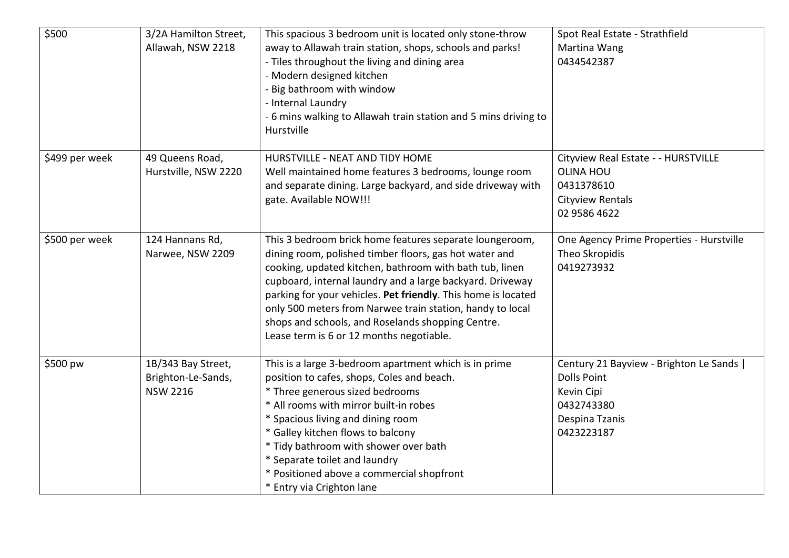| \$500          | 3/2A Hamilton Street,<br>Allawah, NSW 2218                  | This spacious 3 bedroom unit is located only stone-throw<br>away to Allawah train station, shops, schools and parks!<br>- Tiles throughout the living and dining area<br>- Modern designed kitchen<br>- Big bathroom with window<br>- Internal Laundry<br>- 6 mins walking to Allawah train station and 5 mins driving to<br>Hurstville                                                                                                                                  | Spot Real Estate - Strathfield<br>Martina Wang<br>0434542387                                                               |
|----------------|-------------------------------------------------------------|--------------------------------------------------------------------------------------------------------------------------------------------------------------------------------------------------------------------------------------------------------------------------------------------------------------------------------------------------------------------------------------------------------------------------------------------------------------------------|----------------------------------------------------------------------------------------------------------------------------|
| \$499 per week | 49 Queens Road,<br>Hurstville, NSW 2220                     | HURSTVILLE - NEAT AND TIDY HOME<br>Well maintained home features 3 bedrooms, lounge room<br>and separate dining. Large backyard, and side driveway with<br>gate. Available NOW!!!                                                                                                                                                                                                                                                                                        | Cityview Real Estate - - HURSTVILLE<br><b>OLINA HOU</b><br>0431378610<br>Cityview Rentals<br>02 9586 4622                  |
| \$500 per week | 124 Hannans Rd,<br>Narwee, NSW 2209                         | This 3 bedroom brick home features separate loungeroom,<br>dining room, polished timber floors, gas hot water and<br>cooking, updated kitchen, bathroom with bath tub, linen<br>cupboard, internal laundry and a large backyard. Driveway<br>parking for your vehicles. Pet friendly. This home is located<br>only 500 meters from Narwee train station, handy to local<br>shops and schools, and Roselands shopping Centre.<br>Lease term is 6 or 12 months negotiable. | One Agency Prime Properties - Hurstville<br>Theo Skropidis<br>0419273932                                                   |
| \$500 pw       | 1B/343 Bay Street,<br>Brighton-Le-Sands,<br><b>NSW 2216</b> | This is a large 3-bedroom apartment which is in prime<br>position to cafes, shops, Coles and beach.<br>* Three generous sized bedrooms<br>* All rooms with mirror built-in robes<br>* Spacious living and dining room<br>* Galley kitchen flows to balcony<br>* Tidy bathroom with shower over bath<br>* Separate toilet and laundry<br>* Positioned above a commercial shopfront<br>* Entry via Crighton lane                                                           | Century 21 Bayview - Brighton Le Sands  <br><b>Dolls Point</b><br>Kevin Cipi<br>0432743380<br>Despina Tzanis<br>0423223187 |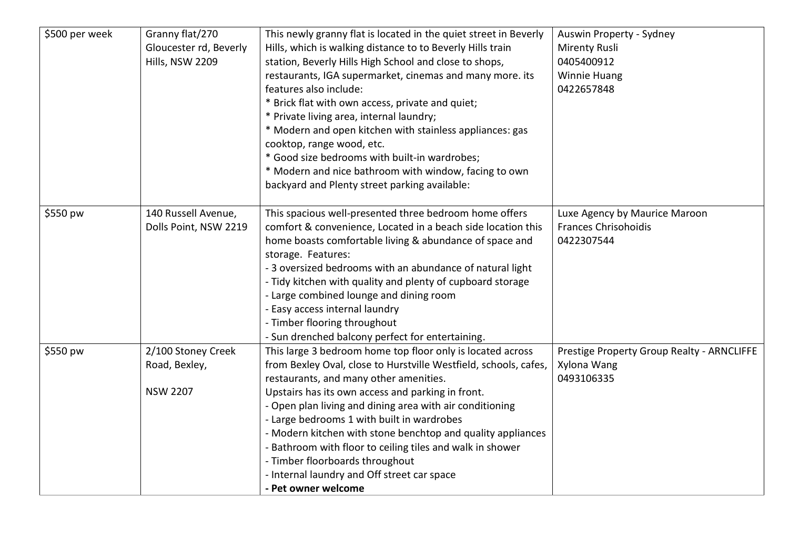| \$500 per week | Granny flat/270<br>Gloucester rd, Beverly<br>Hills, NSW 2209 | This newly granny flat is located in the quiet street in Beverly<br>Hills, which is walking distance to to Beverly Hills train<br>station, Beverly Hills High School and close to shops,<br>restaurants, IGA supermarket, cinemas and many more. its<br>features also include:<br>* Brick flat with own access, private and quiet;<br>* Private living area, internal laundry;<br>* Modern and open kitchen with stainless appliances: gas<br>cooktop, range wood, etc.<br>* Good size bedrooms with built-in wardrobes;<br>* Modern and nice bathroom with window, facing to own | Auswin Property - Sydney<br><b>Mirenty Rusli</b><br>0405400912<br><b>Winnie Huang</b><br>0422657848 |
|----------------|--------------------------------------------------------------|-----------------------------------------------------------------------------------------------------------------------------------------------------------------------------------------------------------------------------------------------------------------------------------------------------------------------------------------------------------------------------------------------------------------------------------------------------------------------------------------------------------------------------------------------------------------------------------|-----------------------------------------------------------------------------------------------------|
|                |                                                              | backyard and Plenty street parking available:                                                                                                                                                                                                                                                                                                                                                                                                                                                                                                                                     |                                                                                                     |
| \$550 pw       | 140 Russell Avenue,<br>Dolls Point, NSW 2219                 | This spacious well-presented three bedroom home offers<br>comfort & convenience, Located in a beach side location this<br>home boasts comfortable living & abundance of space and<br>storage. Features:<br>- 3 oversized bedrooms with an abundance of natural light<br>- Tidy kitchen with quality and plenty of cupboard storage<br>- Large combined lounge and dining room<br>- Easy access internal laundry<br>- Timber flooring throughout<br>- Sun drenched balcony perfect for entertaining.                                                                               | Luxe Agency by Maurice Maroon<br><b>Frances Chrisohoidis</b><br>0422307544                          |
| \$550 pw       | 2/100 Stoney Creek<br>Road, Bexley,<br><b>NSW 2207</b>       | This large 3 bedroom home top floor only is located across<br>from Bexley Oval, close to Hurstville Westfield, schools, cafes,<br>restaurants, and many other amenities.<br>Upstairs has its own access and parking in front.<br>- Open plan living and dining area with air conditioning<br>- Large bedrooms 1 with built in wardrobes<br>- Modern kitchen with stone benchtop and quality appliances<br>- Bathroom with floor to ceiling tiles and walk in shower<br>- Timber floorboards throughout<br>- Internal laundry and Off street car space<br>- Pet owner welcome      | Prestige Property Group Realty - ARNCLIFFE<br>Xylona Wang<br>0493106335                             |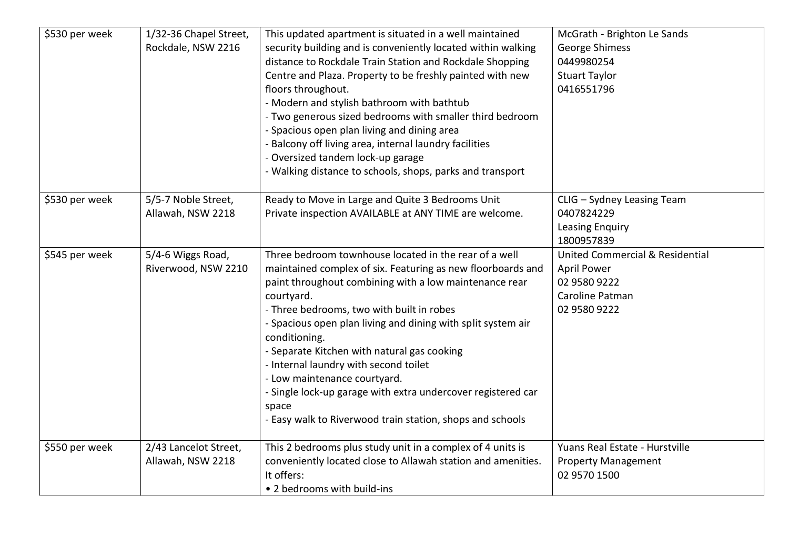| \$530 per week | 1/32-36 Chapel Street,<br>Rockdale, NSW 2216 | This updated apartment is situated in a well maintained<br>security building and is conveniently located within walking<br>distance to Rockdale Train Station and Rockdale Shopping<br>Centre and Plaza. Property to be freshly painted with new<br>floors throughout.<br>- Modern and stylish bathroom with bathtub<br>- Two generous sized bedrooms with smaller third bedroom<br>- Spacious open plan living and dining area<br>- Balcony off living area, internal laundry facilities<br>- Oversized tandem lock-up garage<br>- Walking distance to schools, shops, parks and transport | McGrath - Brighton Le Sands<br>George Shimess<br>0449980254<br><b>Stuart Taylor</b><br>0416551796                   |
|----------------|----------------------------------------------|---------------------------------------------------------------------------------------------------------------------------------------------------------------------------------------------------------------------------------------------------------------------------------------------------------------------------------------------------------------------------------------------------------------------------------------------------------------------------------------------------------------------------------------------------------------------------------------------|---------------------------------------------------------------------------------------------------------------------|
| \$530 per week | 5/5-7 Noble Street,<br>Allawah, NSW 2218     | Ready to Move in Large and Quite 3 Bedrooms Unit<br>Private inspection AVAILABLE at ANY TIME are welcome.                                                                                                                                                                                                                                                                                                                                                                                                                                                                                   | CLIG - Sydney Leasing Team<br>0407824229<br>Leasing Enquiry<br>1800957839                                           |
| \$545 per week | 5/4-6 Wiggs Road,<br>Riverwood, NSW 2210     | Three bedroom townhouse located in the rear of a well<br>maintained complex of six. Featuring as new floorboards and<br>paint throughout combining with a low maintenance rear<br>courtyard.<br>- Three bedrooms, two with built in robes<br>- Spacious open plan living and dining with split system air<br>conditioning.<br>- Separate Kitchen with natural gas cooking<br>- Internal laundry with second toilet<br>- Low maintenance courtyard.<br>- Single lock-up garage with extra undercover registered car<br>space<br>- Easy walk to Riverwood train station, shops and schools    | <b>United Commercial &amp; Residential</b><br><b>April Power</b><br>02 9580 9222<br>Caroline Patman<br>02 9580 9222 |
| \$550 per week | 2/43 Lancelot Street,<br>Allawah, NSW 2218   | This 2 bedrooms plus study unit in a complex of 4 units is<br>conveniently located close to Allawah station and amenities.<br>It offers:<br>• 2 bedrooms with build-ins                                                                                                                                                                                                                                                                                                                                                                                                                     | Yuans Real Estate - Hurstville<br><b>Property Management</b><br>02 9570 1500                                        |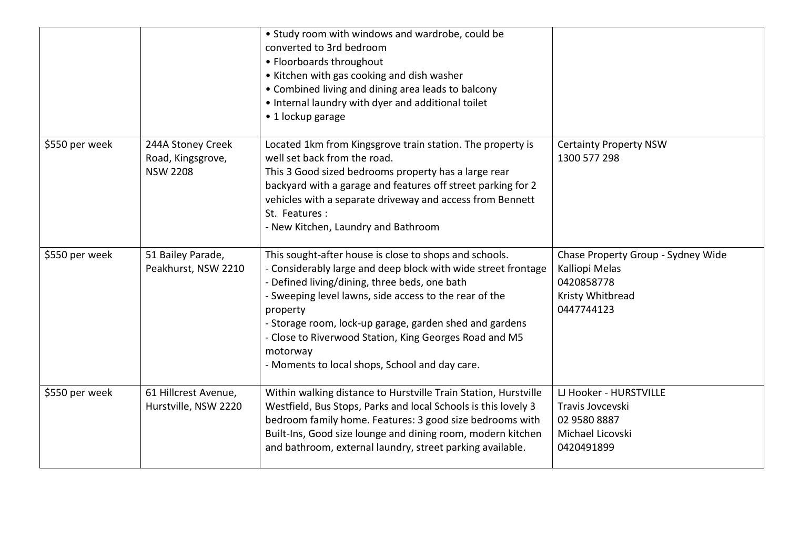|                |                                                           | • Study room with windows and wardrobe, could be<br>converted to 3rd bedroom<br>• Floorboards throughout<br>• Kitchen with gas cooking and dish washer<br>• Combined living and dining area leads to balcony<br>. Internal laundry with dyer and additional toilet<br>• 1 lockup garage                                                                                                                                           |                                                                                                      |
|----------------|-----------------------------------------------------------|-----------------------------------------------------------------------------------------------------------------------------------------------------------------------------------------------------------------------------------------------------------------------------------------------------------------------------------------------------------------------------------------------------------------------------------|------------------------------------------------------------------------------------------------------|
| \$550 per week | 244A Stoney Creek<br>Road, Kingsgrove,<br><b>NSW 2208</b> | Located 1km from Kingsgrove train station. The property is<br>well set back from the road.<br>This 3 Good sized bedrooms property has a large rear<br>backyard with a garage and features off street parking for 2<br>vehicles with a separate driveway and access from Bennett<br>St. Features:<br>- New Kitchen, Laundry and Bathroom                                                                                           | <b>Certainty Property NSW</b><br>1300 577 298                                                        |
| \$550 per week | 51 Bailey Parade,<br>Peakhurst, NSW 2210                  | This sought-after house is close to shops and schools.<br>- Considerably large and deep block with wide street frontage<br>- Defined living/dining, three beds, one bath<br>- Sweeping level lawns, side access to the rear of the<br>property<br>- Storage room, lock-up garage, garden shed and gardens<br>- Close to Riverwood Station, King Georges Road and M5<br>motorway<br>- Moments to local shops, School and day care. | Chase Property Group - Sydney Wide<br>Kalliopi Melas<br>0420858778<br>Kristy Whitbread<br>0447744123 |
| \$550 per week | 61 Hillcrest Avenue,<br>Hurstville, NSW 2220              | Within walking distance to Hurstville Train Station, Hurstville<br>Westfield, Bus Stops, Parks and local Schools is this lovely 3<br>bedroom family home. Features: 3 good size bedrooms with<br>Built-Ins, Good size lounge and dining room, modern kitchen<br>and bathroom, external laundry, street parking available.                                                                                                         | LJ Hooker - HURSTVILLE<br>Travis Jovcevski<br>02 9580 8887<br>Michael Licovski<br>0420491899         |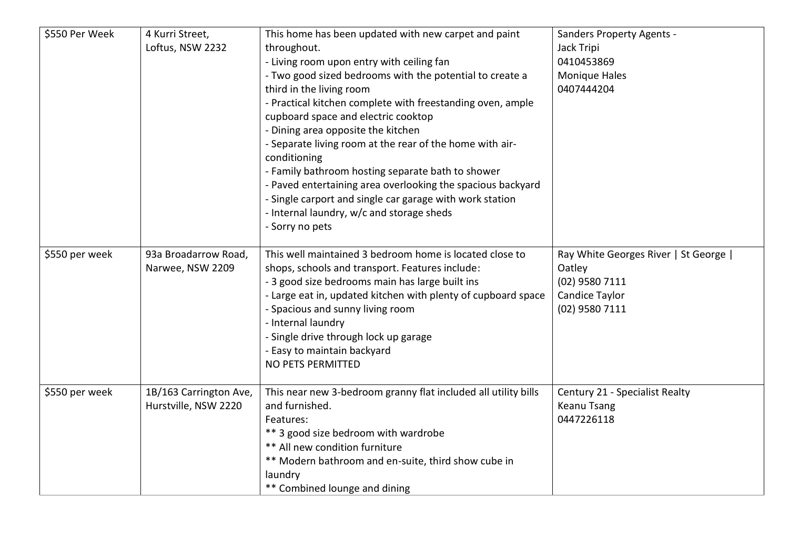| \$550 Per Week | 4 Kurri Street,<br>Loftus, NSW 2232            | This home has been updated with new carpet and paint<br>throughout.<br>- Living room upon entry with ceiling fan<br>- Two good sized bedrooms with the potential to create a<br>third in the living room<br>- Practical kitchen complete with freestanding oven, ample<br>cupboard space and electric cooktop<br>- Dining area opposite the kitchen<br>- Separate living room at the rear of the home with air-<br>conditioning<br>- Family bathroom hosting separate bath to shower<br>- Paved entertaining area overlooking the spacious backyard<br>- Single carport and single car garage with work station<br>- Internal laundry, w/c and storage sheds<br>- Sorry no pets | <b>Sanders Property Agents -</b><br>Jack Tripi<br>0410453869<br><b>Monique Hales</b><br>0407444204    |
|----------------|------------------------------------------------|---------------------------------------------------------------------------------------------------------------------------------------------------------------------------------------------------------------------------------------------------------------------------------------------------------------------------------------------------------------------------------------------------------------------------------------------------------------------------------------------------------------------------------------------------------------------------------------------------------------------------------------------------------------------------------|-------------------------------------------------------------------------------------------------------|
| \$550 per week | 93a Broadarrow Road,<br>Narwee, NSW 2209       | This well maintained 3 bedroom home is located close to<br>shops, schools and transport. Features include:<br>- 3 good size bedrooms main has large built ins<br>- Large eat in, updated kitchen with plenty of cupboard space<br>- Spacious and sunny living room<br>- Internal laundry<br>- Single drive through lock up garage<br>- Easy to maintain backyard<br>NO PETS PERMITTED                                                                                                                                                                                                                                                                                           | Ray White Georges River   St George  <br>Oatley<br>(02) 9580 7111<br>Candice Taylor<br>(02) 9580 7111 |
| \$550 per week | 1B/163 Carrington Ave,<br>Hurstville, NSW 2220 | This near new 3-bedroom granny flat included all utility bills<br>and furnished.<br>Features:<br>** 3 good size bedroom with wardrobe<br>** All new condition furniture<br>** Modern bathroom and en-suite, third show cube in<br>laundry<br>** Combined lounge and dining                                                                                                                                                                                                                                                                                                                                                                                                      | Century 21 - Specialist Realty<br>Keanu Tsang<br>0447226118                                           |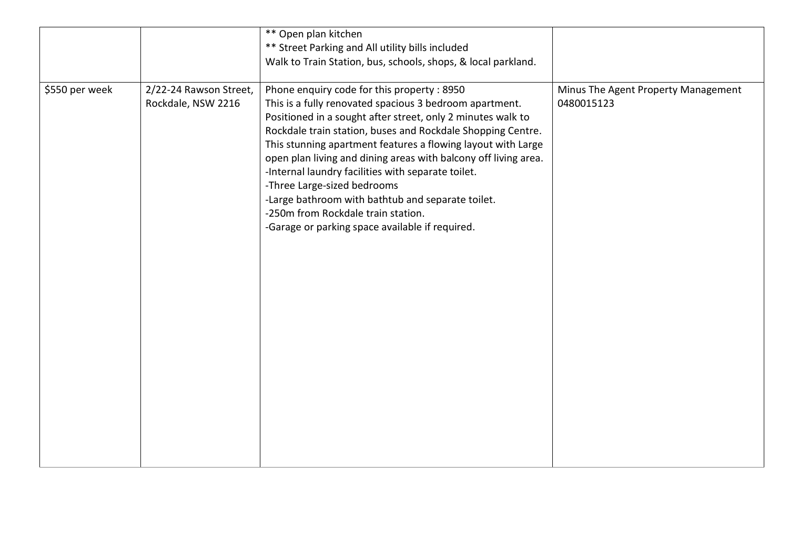|                |                                              | ** Open plan kitchen                                                                                                                                                                                                                                                                                                                                                                                                                                                                                                                                                                                                                                                       |                                                   |
|----------------|----------------------------------------------|----------------------------------------------------------------------------------------------------------------------------------------------------------------------------------------------------------------------------------------------------------------------------------------------------------------------------------------------------------------------------------------------------------------------------------------------------------------------------------------------------------------------------------------------------------------------------------------------------------------------------------------------------------------------------|---------------------------------------------------|
|                |                                              | ** Street Parking and All utility bills included                                                                                                                                                                                                                                                                                                                                                                                                                                                                                                                                                                                                                           |                                                   |
|                |                                              |                                                                                                                                                                                                                                                                                                                                                                                                                                                                                                                                                                                                                                                                            |                                                   |
|                |                                              |                                                                                                                                                                                                                                                                                                                                                                                                                                                                                                                                                                                                                                                                            |                                                   |
| \$550 per week | 2/22-24 Rawson Street,<br>Rockdale, NSW 2216 | Walk to Train Station, bus, schools, shops, & local parkland.<br>Phone enquiry code for this property: 8950<br>This is a fully renovated spacious 3 bedroom apartment.<br>Positioned in a sought after street, only 2 minutes walk to<br>Rockdale train station, buses and Rockdale Shopping Centre.<br>This stunning apartment features a flowing layout with Large<br>open plan living and dining areas with balcony off living area.<br>-Internal laundry facilities with separate toilet.<br>-Three Large-sized bedrooms<br>-Large bathroom with bathtub and separate toilet.<br>-250m from Rockdale train station.<br>-Garage or parking space available if required. | Minus The Agent Property Management<br>0480015123 |
|                |                                              |                                                                                                                                                                                                                                                                                                                                                                                                                                                                                                                                                                                                                                                                            |                                                   |
|                |                                              |                                                                                                                                                                                                                                                                                                                                                                                                                                                                                                                                                                                                                                                                            |                                                   |
|                |                                              |                                                                                                                                                                                                                                                                                                                                                                                                                                                                                                                                                                                                                                                                            |                                                   |
|                |                                              |                                                                                                                                                                                                                                                                                                                                                                                                                                                                                                                                                                                                                                                                            |                                                   |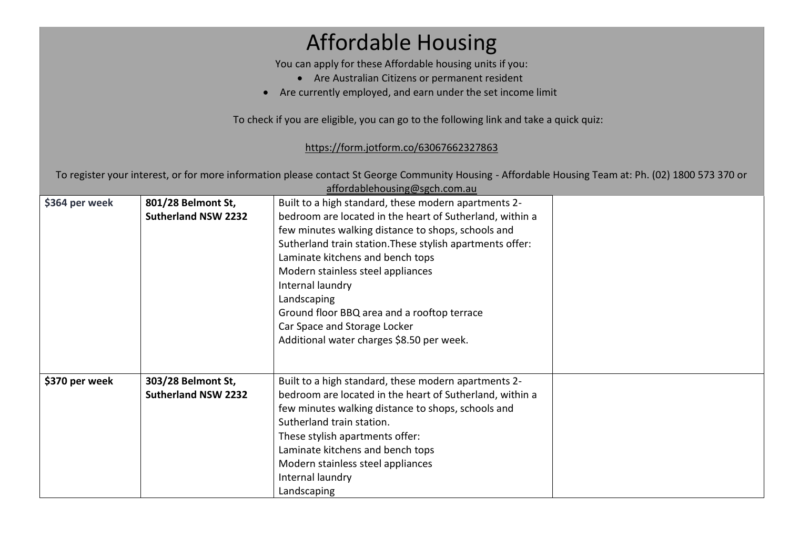# Affordable Housing

You can apply for these Affordable housing units if you:

- Are Australian Citizens or permanent resident
- Are currently employed, and earn under the set income limit

To check if you are eligible, you can go to the following link and take a quick quiz:

#### <https://form.jotform.co/63067662327863>

To register your interest, or for more information please contact St George Community Housing - Affordable Housing Team at: Ph. (02) 1800 573 370 or

|                | affordablehousing@sgch.com.au |                                                           |  |  |  |
|----------------|-------------------------------|-----------------------------------------------------------|--|--|--|
| \$364 per week | 801/28 Belmont St,            | Built to a high standard, these modern apartments 2-      |  |  |  |
|                | <b>Sutherland NSW 2232</b>    | bedroom are located in the heart of Sutherland, within a  |  |  |  |
|                |                               | few minutes walking distance to shops, schools and        |  |  |  |
|                |                               | Sutherland train station. These stylish apartments offer: |  |  |  |
|                |                               | Laminate kitchens and bench tops                          |  |  |  |
|                |                               | Modern stainless steel appliances                         |  |  |  |
|                |                               | Internal laundry                                          |  |  |  |
|                |                               | Landscaping                                               |  |  |  |
|                |                               | Ground floor BBQ area and a rooftop terrace               |  |  |  |
|                |                               | Car Space and Storage Locker                              |  |  |  |
|                |                               | Additional water charges \$8.50 per week.                 |  |  |  |
|                |                               |                                                           |  |  |  |
|                |                               |                                                           |  |  |  |
| \$370 per week | 303/28 Belmont St,            | Built to a high standard, these modern apartments 2-      |  |  |  |
|                | <b>Sutherland NSW 2232</b>    | bedroom are located in the heart of Sutherland, within a  |  |  |  |
|                |                               | few minutes walking distance to shops, schools and        |  |  |  |
|                |                               | Sutherland train station.                                 |  |  |  |
|                |                               | These stylish apartments offer:                           |  |  |  |
|                |                               | Laminate kitchens and bench tops                          |  |  |  |
|                |                               | Modern stainless steel appliances                         |  |  |  |
|                |                               | Internal laundry                                          |  |  |  |
|                |                               | Landscaping                                               |  |  |  |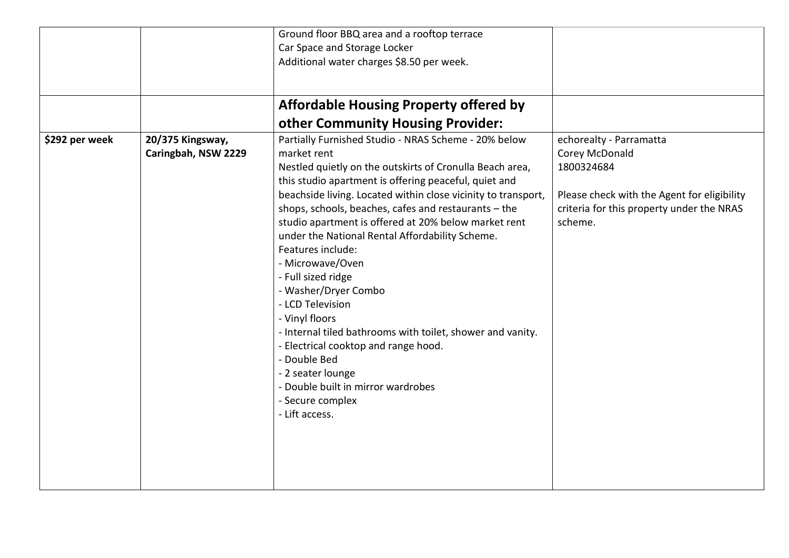|                |                     | Ground floor BBQ area and a rooftop terrace                   |                                             |
|----------------|---------------------|---------------------------------------------------------------|---------------------------------------------|
|                |                     | Car Space and Storage Locker                                  |                                             |
|                |                     | Additional water charges \$8.50 per week.                     |                                             |
|                |                     |                                                               |                                             |
|                |                     |                                                               |                                             |
|                |                     | <b>Affordable Housing Property offered by</b>                 |                                             |
|                |                     | other Community Housing Provider:                             |                                             |
| \$292 per week | 20/375 Kingsway,    | Partially Furnished Studio - NRAS Scheme - 20% below          | echorealty - Parramatta                     |
|                | Caringbah, NSW 2229 | market rent                                                   | Corey McDonald                              |
|                |                     | Nestled quietly on the outskirts of Cronulla Beach area,      | 1800324684                                  |
|                |                     | this studio apartment is offering peaceful, quiet and         |                                             |
|                |                     | beachside living. Located within close vicinity to transport, | Please check with the Agent for eligibility |
|                |                     | shops, schools, beaches, cafes and restaurants - the          | criteria for this property under the NRAS   |
|                |                     | studio apartment is offered at 20% below market rent          | scheme.                                     |
|                |                     | under the National Rental Affordability Scheme.               |                                             |
|                |                     | Features include:                                             |                                             |
|                |                     | - Microwave/Oven                                              |                                             |
|                |                     | - Full sized ridge                                            |                                             |
|                |                     | - Washer/Dryer Combo                                          |                                             |
|                |                     | - LCD Television                                              |                                             |
|                |                     | - Vinyl floors                                                |                                             |
|                |                     | - Internal tiled bathrooms with toilet, shower and vanity.    |                                             |
|                |                     | - Electrical cooktop and range hood.                          |                                             |
|                |                     | - Double Bed                                                  |                                             |
|                |                     | - 2 seater lounge                                             |                                             |
|                |                     | - Double built in mirror wardrobes                            |                                             |
|                |                     | - Secure complex                                              |                                             |
|                |                     | - Lift access.                                                |                                             |
|                |                     |                                                               |                                             |
|                |                     |                                                               |                                             |
|                |                     |                                                               |                                             |
|                |                     |                                                               |                                             |
|                |                     |                                                               |                                             |